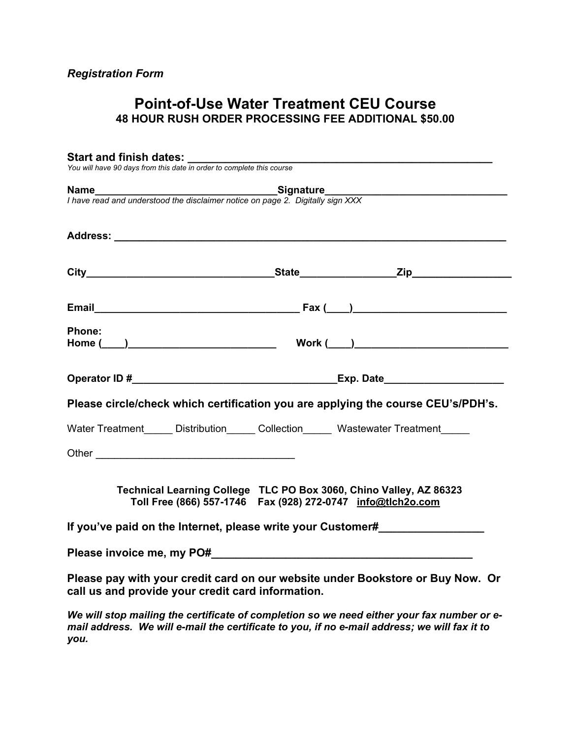## **Point-of-Use Water Treatment CEU Course 48 HOUR RUSH ORDER PROCESSING FEE ADDITIONAL \$50.00**

|        | <b>Name</b><br>I have read and understood the disclaimer notice on page 2. Digitally sign XXX                                                                                                                                  |                                                                                  |
|--------|--------------------------------------------------------------------------------------------------------------------------------------------------------------------------------------------------------------------------------|----------------------------------------------------------------------------------|
|        |                                                                                                                                                                                                                                |                                                                                  |
|        |                                                                                                                                                                                                                                |                                                                                  |
|        |                                                                                                                                                                                                                                |                                                                                  |
|        |                                                                                                                                                                                                                                |                                                                                  |
| Phone: |                                                                                                                                                                                                                                |                                                                                  |
|        |                                                                                                                                                                                                                                |                                                                                  |
|        |                                                                                                                                                                                                                                |                                                                                  |
|        |                                                                                                                                                                                                                                | Please circle/check which certification you are applying the course CEU's/PDH's. |
|        | Water Treatment _____ Distribution ______ Collection ______ Wastewater Treatment _____                                                                                                                                         |                                                                                  |
|        |                                                                                                                                                                                                                                |                                                                                  |
|        | Technical Learning College TLC PO Box 3060, Chino Valley, AZ 86323<br>Toll Free (866) 557-1746    Fax (928) 272-0747    info@tlch2o.com                                                                                        |                                                                                  |
|        | If you've paid on the Internet, please write your Customer#                                                                                                                                                                    |                                                                                  |
|        | Please invoice me, my PO# example and the state of the state of the state of the state of the state of the state of the state of the state of the state of the state of the state of the state of the state of the state of th |                                                                                  |
|        | call us and provide your credit card information.                                                                                                                                                                              | Please pay with your credit card on our website under Bookstore or Buy Now. Or   |

*We will stop mailing the certificate of completion so we need either your fax number or email address. We will e-mail the certificate to you, if no e-mail address; we will fax it to you.*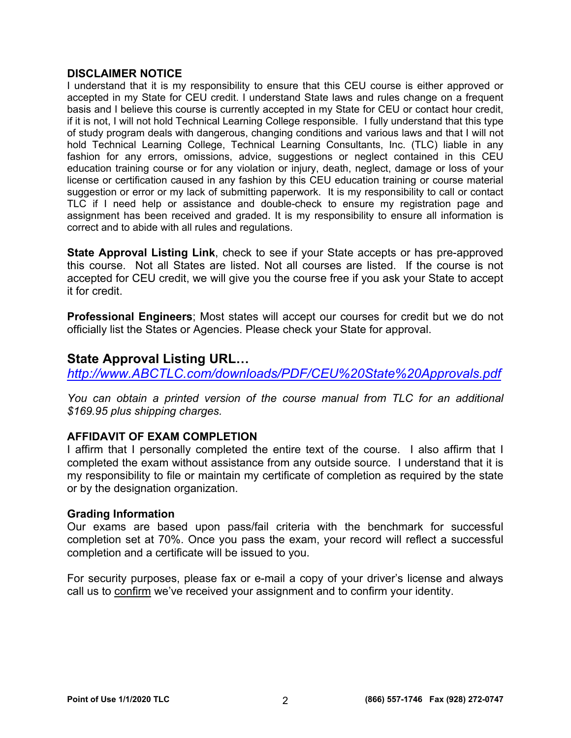### **DISCLAIMER NOTICE**

I understand that it is my responsibility to ensure that this CEU course is either approved or accepted in my State for CEU credit. I understand State laws and rules change on a frequent basis and I believe this course is currently accepted in my State for CEU or contact hour credit, if it is not, I will not hold Technical Learning College responsible. I fully understand that this type of study program deals with dangerous, changing conditions and various laws and that I will not hold Technical Learning College, Technical Learning Consultants, Inc. (TLC) liable in any fashion for any errors, omissions, advice, suggestions or neglect contained in this CEU education training course or for any violation or injury, death, neglect, damage or loss of your license or certification caused in any fashion by this CEU education training or course material suggestion or error or my lack of submitting paperwork. It is my responsibility to call or contact TLC if I need help or assistance and double-check to ensure my registration page and assignment has been received and graded. It is my responsibility to ensure all information is correct and to abide with all rules and regulations.

**State Approval Listing Link**, check to see if your State accepts or has pre-approved this course. Not all States are listed. Not all courses are listed. If the course is not accepted for CEU credit, we will give you the course free if you ask your State to accept it for credit.

**Professional Engineers**; Most states will accept our courses for credit but we do not officially list the States or Agencies. Please check your State for approval.

### **State Approval Listing URL…**

*<http://www.ABCTLC.com/downloads/PDF/CEU%20State%20Approvals.pdf>*

*You can obtain a printed version of the course manual from TLC for an additional \$169.95 plus shipping charges.* 

### **AFFIDAVIT OF EXAM COMPLETION**

I affirm that I personally completed the entire text of the course. I also affirm that I completed the exam without assistance from any outside source. I understand that it is my responsibility to file or maintain my certificate of completion as required by the state or by the designation organization.

### **Grading Information**

Our exams are based upon pass/fail criteria with the benchmark for successful completion set at 70%. Once you pass the exam, your record will reflect a successful completion and a certificate will be issued to you.

For security purposes, please fax or e-mail a copy of your driver's license and always call us to confirm we've received your assignment and to confirm your identity.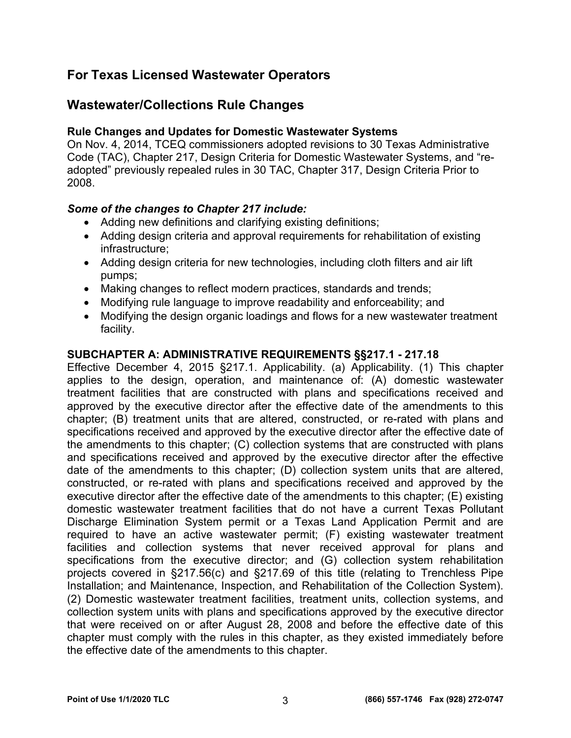## **For Texas Licensed Wastewater Operators**

### **Wastewater/Collections Rule Changes**

### **Rule Changes and Updates for Domestic Wastewater Systems**

On Nov. 4, 2014, TCEQ commissioners adopted revisions to 30 Texas Administrative Code (TAC), Chapter 217, Design Criteria for Domestic Wastewater Systems, and "readopted" previously repealed rules in 30 TAC, Chapter 317, Design Criteria Prior to 2008.

### *Some of the changes to Chapter 217 include:*

- Adding new definitions and clarifying existing definitions;
- Adding design criteria and approval requirements for rehabilitation of existing infrastructure;
- Adding design criteria for new technologies, including cloth filters and air lift pumps;
- Making changes to reflect modern practices, standards and trends;
- Modifying rule language to improve readability and enforceability; and
- Modifying the design organic loadings and flows for a new wastewater treatment facility.

### **SUBCHAPTER A: ADMINISTRATIVE REQUIREMENTS §§217.1 - 217.18**

Effective December 4, 2015 §217.1. Applicability. (a) Applicability. (1) This chapter applies to the design, operation, and maintenance of: (A) domestic wastewater treatment facilities that are constructed with plans and specifications received and approved by the executive director after the effective date of the amendments to this chapter; (B) treatment units that are altered, constructed, or re-rated with plans and specifications received and approved by the executive director after the effective date of the amendments to this chapter; (C) collection systems that are constructed with plans and specifications received and approved by the executive director after the effective date of the amendments to this chapter; (D) collection system units that are altered, constructed, or re-rated with plans and specifications received and approved by the executive director after the effective date of the amendments to this chapter; (E) existing domestic wastewater treatment facilities that do not have a current Texas Pollutant Discharge Elimination System permit or a Texas Land Application Permit and are required to have an active wastewater permit; (F) existing wastewater treatment facilities and collection systems that never received approval for plans and specifications from the executive director; and (G) collection system rehabilitation projects covered in §217.56(c) and §217.69 of this title (relating to Trenchless Pipe Installation; and Maintenance, Inspection, and Rehabilitation of the Collection System). (2) Domestic wastewater treatment facilities, treatment units, collection systems, and collection system units with plans and specifications approved by the executive director that were received on or after August 28, 2008 and before the effective date of this chapter must comply with the rules in this chapter, as they existed immediately before the effective date of the amendments to this chapter.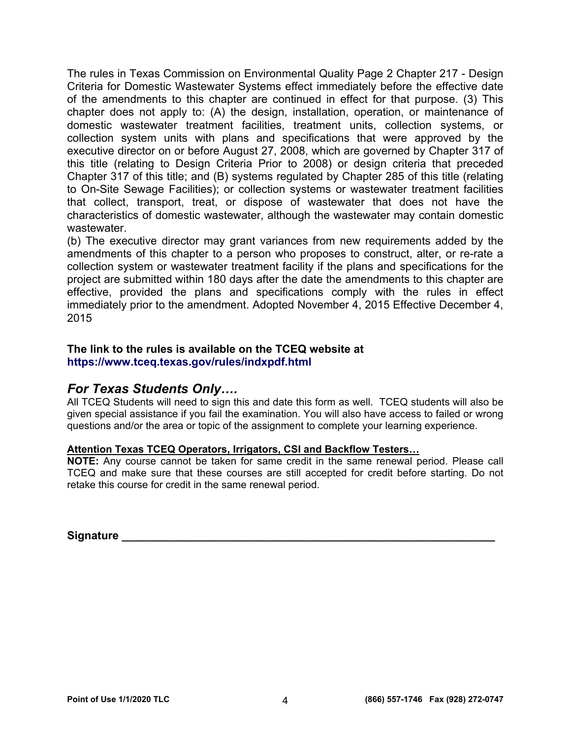The rules in Texas Commission on Environmental Quality Page 2 Chapter 217 - Design Criteria for Domestic Wastewater Systems effect immediately before the effective date of the amendments to this chapter are continued in effect for that purpose. (3) This chapter does not apply to: (A) the design, installation, operation, or maintenance of domestic wastewater treatment facilities, treatment units, collection systems, or collection system units with plans and specifications that were approved by the executive director on or before August 27, 2008, which are governed by Chapter 317 of this title (relating to Design Criteria Prior to 2008) or design criteria that preceded Chapter 317 of this title; and (B) systems regulated by Chapter 285 of this title (relating to On-Site Sewage Facilities); or collection systems or wastewater treatment facilities that collect, transport, treat, or dispose of wastewater that does not have the characteristics of domestic wastewater, although the wastewater may contain domestic wastewater.

(b) The executive director may grant variances from new requirements added by the amendments of this chapter to a person who proposes to construct, alter, or re-rate a collection system or wastewater treatment facility if the plans and specifications for the project are submitted within 180 days after the date the amendments to this chapter are effective, provided the plans and specifications comply with the rules in effect immediately prior to the amendment. Adopted November 4, 2015 Effective December 4, 2015

### **The link to the rules is available on the TCEQ website at <https://www.tceq.texas.gov/rules/indxpdf.html>**

### *For Texas Students Only….*

All TCEQ Students will need to sign this and date this form as well. TCEQ students will also be given special assistance if you fail the examination. You will also have access to failed or wrong questions and/or the area or topic of the assignment to complete your learning experience.

### **Attention Texas TCEQ Operators, Irrigators, CSI and Backflow Testers…**

**NOTE:** Any course cannot be taken for same credit in the same renewal period. Please call TCEQ and make sure that these courses are still accepted for credit before starting. Do not retake this course for credit in the same renewal period.

**Signature**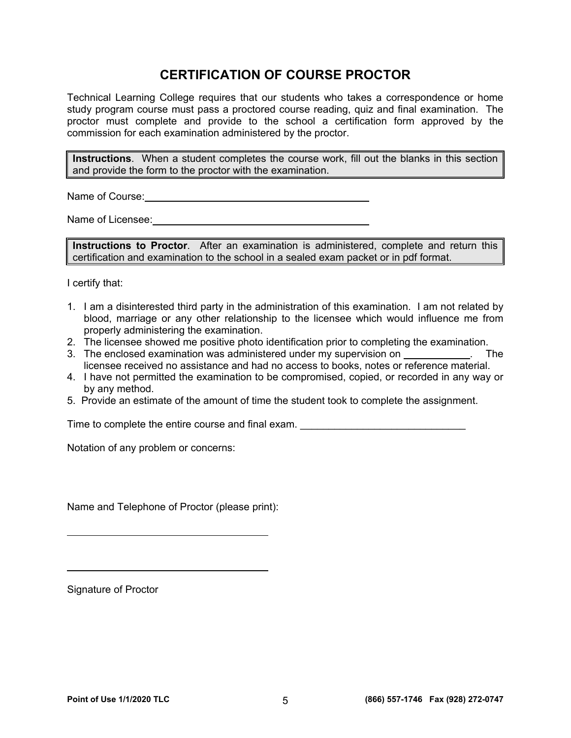## **CERTIFICATION OF COURSE PROCTOR**

Technical Learning College requires that our students who takes a correspondence or home study program course must pass a proctored course reading, quiz and final examination. The proctor must complete and provide to the school a certification form approved by the commission for each examination administered by the proctor.

**Instructions**. When a student completes the course work, fill out the blanks in this section and provide the form to the proctor with the examination.

Name of Course: **Name of Course:** 

Name of Licensee: **Name of Licensee:** 

**Instructions to Proctor**. After an examination is administered, complete and return this certification and examination to the school in a sealed exam packet or in pdf format.

I certify that:

- 1. I am a disinterested third party in the administration of this examination. I am not related by blood, marriage or any other relationship to the licensee which would influence me from properly administering the examination.
- 2. The licensee showed me positive photo identification prior to completing the examination.
- 3. The enclosed examination was administered under my supervision on **Example 2.** The licensee received no assistance and had no access to books, notes or reference material.
- 4. I have not permitted the examination to be compromised, copied, or recorded in any way or by any method.
- 5. Provide an estimate of the amount of time the student took to complete the assignment.

Time to complete the entire course and final exam.

Notation of any problem or concerns:

Name and Telephone of Proctor (please print):

Signature of Proctor

 $\overline{a}$ 

 $\overline{a}$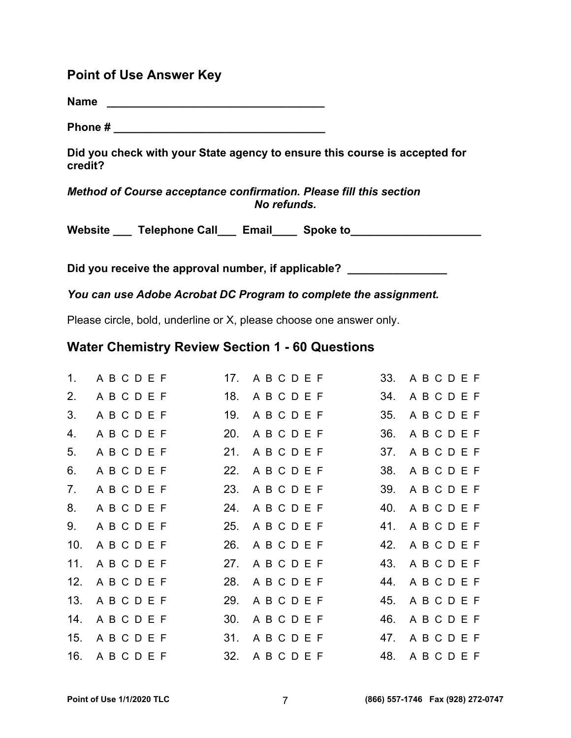### **Point of Use Answer Key**

**Name \_\_\_\_\_\_\_\_\_\_\_\_\_\_\_\_\_\_\_\_\_\_\_\_\_\_\_\_\_\_\_\_\_\_\_** 

**Phone # \_\_\_\_\_\_\_\_\_\_\_\_\_\_\_\_\_\_\_\_\_\_\_\_\_\_\_\_\_\_\_\_\_\_** 

**Did you check with your State agency to ensure this course is accepted for credit?** 

### *Method of Course acceptance confirmation. Please fill this section No refunds.*

Website **Late Telephone Call** Email Spoke to

Did you receive the approval number, if applicable? **with any contract of the system** 

*You can use Adobe Acrobat DC Program to complete the assignment.* 

Please circle, bold, underline or X, please choose one answer only.

### **Water Chemistry Review Section 1 - 60 Questions**

| $1_{-}$ | ABCDEF     |     | 17. ABCDEF  | 33. | ABCDEF     |
|---------|------------|-----|-------------|-----|------------|
| 2.      | ABCDEF     |     | 18. ABCDEF  | 34. | ABCDEF     |
| 3.      | ABCDEF     | 19. | ABCDEF      | 35. | ABCDEF     |
| 4.      | ABCDEF     |     | 20. ABCDEF  | 36. | ABCDEF     |
| 5.      | ABCDEF     |     | 21. ABCDEF  | 37. | ABCDEF     |
| 6.      | ABCDEF     | 22. | A B C D E F | 38. | ABCDEF     |
| 7.      | ABCDEF     |     | 23. ABCDEF  | 39. | ABCDEF     |
| 8.      | ABCDEF     |     | 24. ABCDEF  |     | 40. ABCDEF |
| 9.      | ABCDEF     |     | 25. ABCDEF  | 41. | ABCDEF     |
| 10.     | ABCDEF     |     | 26. ABCDEF  |     | 42. ABCDEF |
| 11.     | ABCDEF     |     | 27. ABCDEF  |     | 43. ABCDEF |
| 12.     | ABCDEF     |     | 28. ABCDEF  |     | 44. ABCDEF |
| 13.     | ABCDEF     | 29. | ABCDEF      | 45. | ABCDEF     |
|         | 14. ABCDEF |     | 30. ABCDEF  |     | 46. ABCDEF |
|         | 15. ABCDEF |     | 31. ABCDEF  |     | 47. ABCDEF |
|         | 16. ABCDEF |     | 32. ABCDEF  |     | 48. ABCDEF |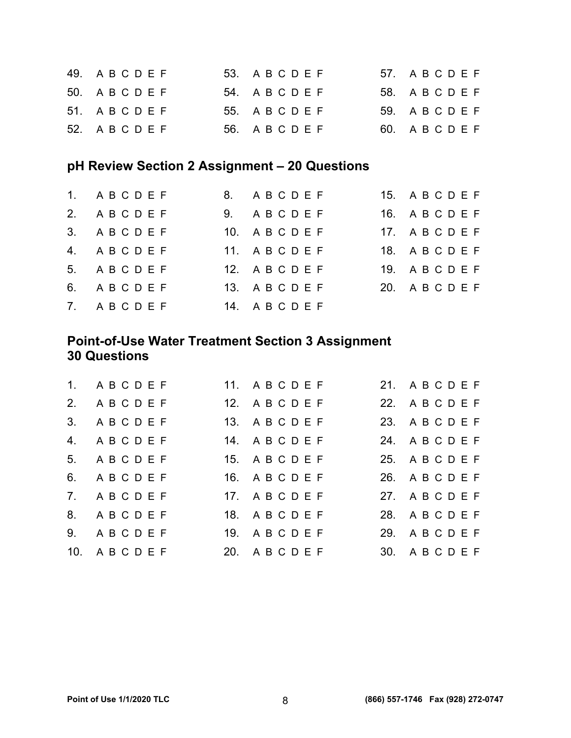| 49. ABCDEF | 53. A B C D E F | 57. ABCDEF      |
|------------|-----------------|-----------------|
| 50. ABCDEF | 54. A B C D E F | 58. A B C D E F |
| 51. ABCDEF | 55. A B C D E F | 59. A B C D E F |
| 52. ABCDEF | 56. A B C D E F | 60. ABCDEF      |

## **pH Review Section 2 Assignment – 20 Questions**

| 1. ABCDEF | 8. ABCDEF  | 15. ABCDEF |
|-----------|------------|------------|
| 2. ABCDEF | 9. ABCDEF  | 16. ABCDEF |
| 3. ABCDEF | 10. ABCDEF | 17. ABCDEF |
| 4. ABCDEF | 11. ABCDEF | 18. ABCDEF |
| 5. ABCDEF | 12. ABCDEF | 19. ABCDEF |
| 6. ABCDEF | 13. ABCDEF | 20. ABCDEF |
| 7. ABCDEF | 14. ABCDEF |            |

## **Point-of-Use Water Treatment Section 3 Assignment 30 Questions**

| 1. ABCDEF             | 11. ABCDEF      | 21. ABCDEF      |
|-----------------------|-----------------|-----------------|
| 2. ABCDEF             | 12. A B C D E F | 22. A B C D E F |
| 3. ABCDEF             | 13. A B C D E F | 23. A B C D E F |
| 4. ABCDEF             | 14. A B C D E F | 24. A B C D E F |
| 5. ABCDEF             | 15. A B C D E F | 25. A B C D E F |
| 6. ABCDEF             | 16. ABCDEF      | 26. ABCDEF      |
| 7. ABCDEF             | 17. A B C D E F | 27. A B C D E F |
| 8. ABCDEF             | 18. ABCDEF      | 28. ABCDEF      |
| 9. ABCDEF             | 19. A B C D E F | 29. ABCDEF      |
| 10. ABCDEF 20. ABCDEF |                 | 30. ABCDEF      |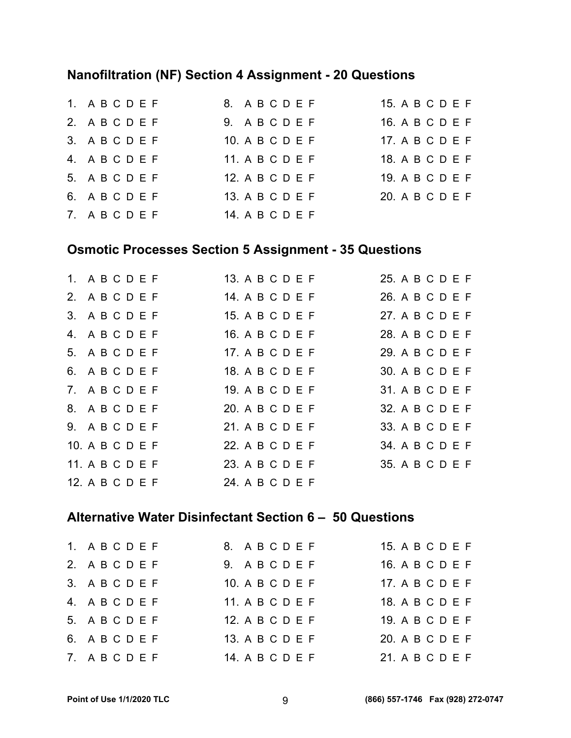## **Nanofiltration (NF) Section 4 Assignment - 20 Questions**

| 1. ABCDEF | 8. ABCDEF       | 15. A B C D E F |
|-----------|-----------------|-----------------|
| 2. ABCDEF | 9. ABCDEF       | 16. A B C D E F |
| 3. ABCDEF | 10. A B C D E F | 17. A B C D E F |
| 4. ABCDEF | 11. A B C D E F | 18. A B C D E F |
| 5. ABCDEF | 12. A B C D E F | 19. A B C D E F |
| 6. ABCDEF | 13. A B C D E F | 20. A B C D E F |
| 7. ABCDEF | 14. A B C D E F |                 |

## **Osmotic Processes Section 5 Assignment - 35 Questions**

| 1. A B C D E F  |                 | 13. A B C D E F | 25. A B C D E F   |
|-----------------|-----------------|-----------------|-------------------|
| 2. ABCDEF       | 14. A B C D E F |                 | 26. A B C D E F   |
| 3. ABCDEF       | 15. A B C D E F |                 | 27. A B C D E F   |
| 4. ABCDEF       | 16. A B C D E F |                 | 28. A B C D E F   |
| 5. A B C D E F  | 17. A B C D E F |                 | 29. A B C D E F   |
| 6. ABCDEF       | 18. A B C D E F |                 | 30. A B C D E F   |
| 7. ABCDEF       | 19. A B C D E F |                 | $31.$ A B C D E F |
| 8. ABCDEF       | 20. A B C D E F |                 | 32. A B C D E F   |
| 9. ABCDEF       | 21. A B C D E F |                 | 33. A B C D E F   |
| 10. A B C D E F | 22. A B C D E F |                 | 34. A B C D E F   |
| 11. A B C D E F | 23. A B C D E F |                 | 35. A B C D E F   |
| 12. A B C D E F | 24. A B C D E F |                 |                   |

### **Alternative Water Disinfectant Section 6 – 50 Questions**

| 1. ABCDEF | 8. ABCDEF         | 15. A B C D E F   |
|-----------|-------------------|-------------------|
| 2. ABCDEF | 9. ABCDEF         | 16. A B C D E F   |
| 3. ABCDEF | $10.$ A B C D E F | 17. A B C D E F   |
| 4. ABCDEF | 11. A B C D E F   | 18. A B C D E F   |
| 5. ABCDEF | 12. A B C D E F   | $19.$ A B C D E F |
| 6. ABCDEF | 13. A B C D E F   | 20. A B C D E F   |
| 7. ABCDEF | 14. A B C D E F   | 21. A B C D E F   |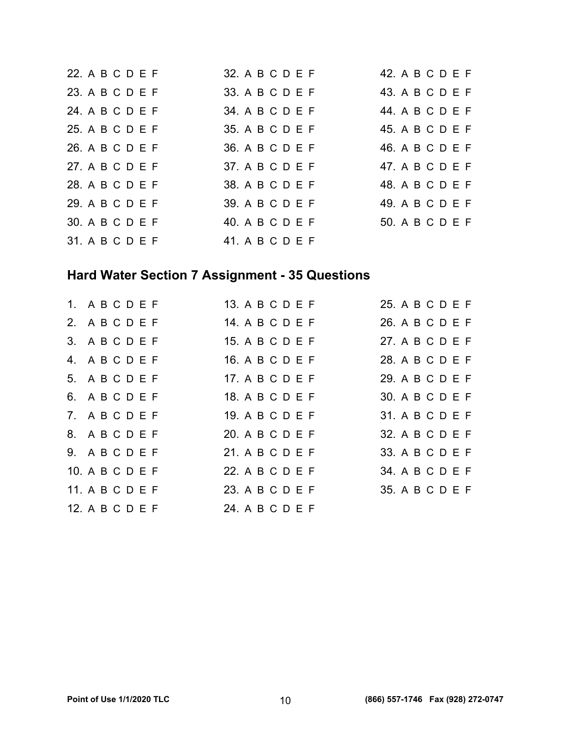|  | 22. A B C D E F   | 32. A B C D E F | 42. A B C D E F |
|--|-------------------|-----------------|-----------------|
|  | 23. A B C D E F   | 33. A B C D E F | 43. A B C D E F |
|  | 24. A B C D E F   | 34. A B C D E F | 44. A B C D E F |
|  | 25. A B C D E F   | 35. A B C D E F | 45. A B C D E F |
|  | 26. A B C D E F   | 36. A B C D E F | 46. A B C D E F |
|  | 27. A B C D E F   | 37. A B C D E F | 47. A B C D E F |
|  | 28. A B C D E F   | 38. A B C D E F | 48. A B C D E F |
|  | 29. A B C D E F   | 39. A B C D E F | 49. A B C D E F |
|  | 30. A B C D E F   | 40. A B C D E F | 50. A B C D E F |
|  | $31.$ A B C D E F | 41. A B C D E F |                 |

# **Hard Water Section 7 Assignment - 35 Questions**

| 1. ABCDEF       | 13. A B C D E F | 25. A B C D E F   |
|-----------------|-----------------|-------------------|
| 2. ABCDEF       | 14. A B C D E F | 26. A B C D E F   |
| 3. ABCDEF       | 15. A B C D E F | 27. A B C D E F   |
| 4. ABCDEF       | 16. A B C D E F | 28. A B C D E F   |
| 5. ABCDEF       | 17. A B C D E F | $29.$ A B C D E F |
| 6. ABCDEF       | 18. A B C D E F | 30. A B C D E F   |
| 7. ABCDEF       | 19. A B C D E F | 31. A B C D E F   |
| 8. ABCDEF       | 20. A B C D E F | 32. A B C D E F   |
| 9. ABCDEF       | 21. A B C D E F | 33. A B C D E F   |
| 10. A B C D E F | 22. A B C D E F | 34. A B C D E F   |
| 11. A B C D E F | 23. A B C D E F | 35. A B C D E F   |
| 12. A B C D E F | 24 A B C D E F  |                   |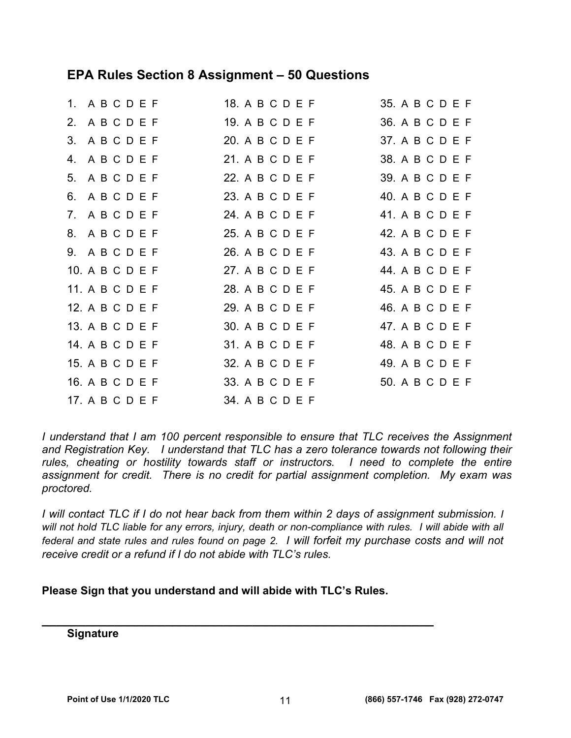### **EPA Rules Section 8 Assignment – 50 Questions**

| 1. ABCDEF       | 18. A B C D E F | 35. A B C D E F |
|-----------------|-----------------|-----------------|
| 2. ABCDEF       | 19. A B C D E F | 36. A B C D E F |
| 3. ABCDEF       | 20. A B C D E F | 37. A B C D E F |
| 4. ABCDEF       | 21. A B C D E F | 38. A B C D E F |
| 5. ABCDEF       | 22. A B C D E F | 39. A B C D E F |
| 6. ABCDEF       | 23. A B C D E F | 40. A B C D E F |
| 7. ABCDEF       | 24. A B C D E F | 41. A B C D E F |
| 8. ABCDEF       | 25. A B C D E F | 42. A B C D E F |
| 9. ABCDEF       | 26. A B C D E F | 43. A B C D E F |
| 10. A B C D E F | 27. A B C D E F | 44. A B C D E F |
| 11. A B C D E F | 28. A B C D E F | 45. A B C D E F |
| 12. A B C D E F | 29. A B C D E F | 46. A B C D E F |
| 13. A B C D E F | 30. A B C D E F | 47. A B C D E F |
| 14. A B C D E F | 31. A B C D E F | 48. A B C D E F |
| 15. A B C D E F | 32. A B C D E F | 49. A B C D E F |
| 16. A B C D E F | 33. A B C D E F | 50. A B C D E F |
| 17. A B C D E F | 34. A B C D E F |                 |

*I understand that I am 100 percent responsible to ensure that TLC receives the Assignment and Registration Key. I understand that TLC has a zero tolerance towards not following their rules, cheating or hostility towards staff or instructors. I need to complete the entire assignment for credit. There is no credit for partial assignment completion. My exam was proctored.* 

*I* will contact TLC if I do not hear back from them within 2 days of assignment submission. I will not hold TLC liable for any errors, injury, death or non-compliance with rules. I will abide with all *federal and state rules and rules found on page 2. I will forfeit my purchase costs and will not receive credit or a refund if I do not abide with TLC's rules.* 

**Please Sign that you understand and will abide with TLC's Rules.** 

**\_\_\_\_\_\_\_\_\_\_\_\_\_\_\_\_\_\_\_\_\_\_\_\_\_\_\_\_\_\_\_\_\_\_\_\_\_\_\_\_\_\_\_\_\_\_\_\_\_\_\_\_\_\_** 

**Signature**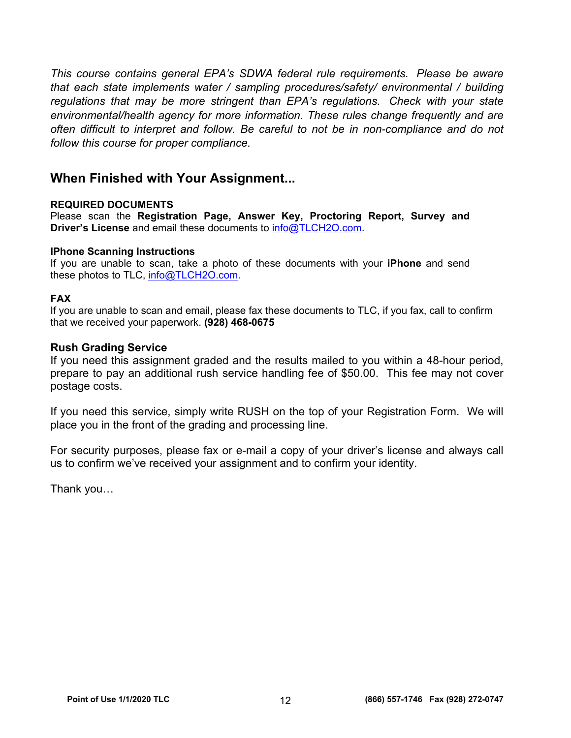*This course contains general EPA's SDWA federal rule requirements. Please be aware that each state implements water / sampling procedures/safety/ environmental / building regulations that may be more stringent than EPA's regulations. Check with your state environmental/health agency for more information. These rules change frequently and are often difficult to interpret and follow. Be careful to not be in non-compliance and do not follow this course for proper compliance.* 

### **When Finished with Your Assignment...**

### **REQUIRED DOCUMENTS**

Please scan the **Registration Page, Answer Key, Proctoring Report, Survey and Driver's License** and email these documents to [info@TLCH2O.com.](mailto:info@TLCH2O.com) 

### **IPhone Scanning Instructions**

If you are unable to scan, take a photo of these documents with your **iPhone** and send these photos to TLC, info@TLCH2O.com.

### **FAX**

If you are unable to scan and email, please fax these documents to TLC, if you fax, call to confirm that we received your paperwork. **(928) 468-0675** 

### **Rush Grading Service**

If you need this assignment graded and the results mailed to you within a 48-hour period, prepare to pay an additional rush service handling fee of \$50.00. This fee may not cover postage costs.

If you need this service, simply write RUSH on the top of your Registration Form. We will place you in the front of the grading and processing line.

For security purposes, please fax or e-mail a copy of your driver's license and always call us to confirm we've received your assignment and to confirm your identity.

Thank you…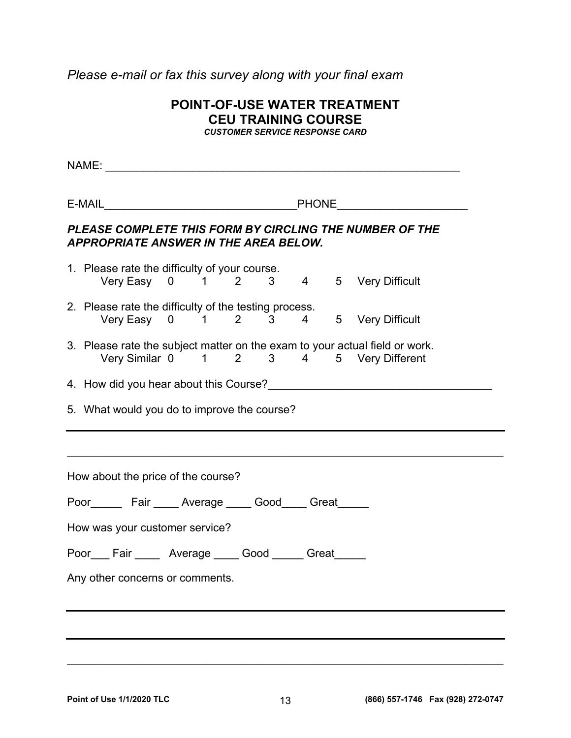*Please e-mail or fax this survey along with your final exam* 

| <b>POINT-OF-USE WATER TREATMENT</b> |
|-------------------------------------|
| <b>CEU TRAINING COURSE</b>          |
| $\overline{\phantom{a}}$            |

*CUSTOMER SERVICE RESPONSE CARD* 

| E-MAIL PHONE PHONE PHONE<br>PLEASE COMPLETE THIS FORM BY CIRCLING THE NUMBER OF THE<br><b>APPROPRIATE ANSWER IN THE AREA BELOW.</b>                        |
|------------------------------------------------------------------------------------------------------------------------------------------------------------|
| 1. Please rate the difficulty of your course.<br>Very Easy 0 1 2 3 4 5 Very Difficult                                                                      |
|                                                                                                                                                            |
| 2. Please rate the difficulty of the testing process.<br>ase rate the unnoulty of the testing process.<br>Very Easy  0   1   2   3   4   5  Very Difficult |
| 3. Please rate the subject matter on the exam to your actual field or work.<br>Very Similar 0 1 2 3 4 5 Very Different                                     |
| 5. What would you do to improve the course?                                                                                                                |
| How about the price of the course?                                                                                                                         |
|                                                                                                                                                            |
| Poor________ Fair _____ Average _____ Good_____ Great______                                                                                                |
| How was your customer service?                                                                                                                             |
| Poor Fair Nerage Good Figure 3.                                                                                                                            |
| Any other concerns or comments.                                                                                                                            |
|                                                                                                                                                            |
|                                                                                                                                                            |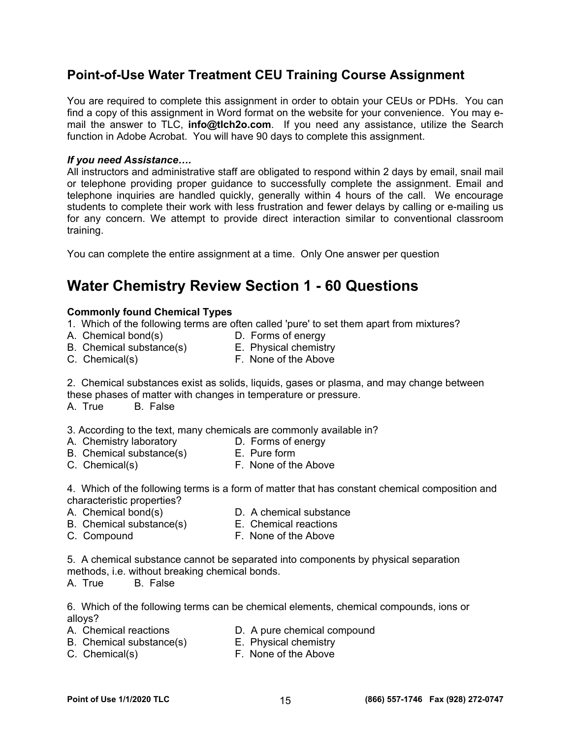### **Point-of-Use Water Treatment CEU Training Course Assignment**

You are required to complete this assignment in order to obtain your CEUs or PDHs. You can find a copy of this assignment in Word format on the website for your convenience. You may email the answer to TLC, **[info@tlch2o.com](mailto:info@tlch2o.com)**. If you need any assistance, utilize the Search function in Adobe Acrobat. You will have 90 days to complete this assignment.

### *If you need Assistance….*

All instructors and administrative staff are obligated to respond within 2 days by email, snail mail or telephone providing proper guidance to successfully complete the assignment. Email and telephone inquiries are handled quickly, generally within 4 hours of the call. We encourage students to complete their work with less frustration and fewer delays by calling or e-mailing us for any concern. We attempt to provide direct interaction similar to conventional classroom training.

You can complete the entire assignment at a time. Only One answer per question

## **Water Chemistry Review Section 1 - 60 Questions**

### **Commonly found Chemical Types**

1. Which of the following terms are often called 'pure' to set them apart from mixtures?

- A. Chemical bond(s) D. Forms of energy
- 
- B. Chemical substance(s) E. Physical chemistry
	-
- C. Chemical(s) G. Chemical(s) E. None of the Above

2. Chemical substances exist as solids, liquids, gases or plasma, and may change between these phases of matter with changes in temperature or pressure.

A. True B. False

3. According to the text, many chemicals are commonly available in?<br>A. Chemistry laboratory **D. Forms of energy** 

- 
- D. Forms of energy B. Chemical substance(s) E. Pure form
- C. Chemical(s) F. None of the Above

4. Which of the following terms is a form of matter that has constant chemical composition and characteristic properties?

- 
- A. Chemical bond(s) D. A chemical substance
- B. Chemical substance(s) E. Chemical reactions
	-
- C. Compound F. None of the Above

5. A chemical substance cannot be separated into components by physical separation methods, i.e. without breaking chemical bonds.

A. True B. False

6. Which of the following terms can be chemical elements, chemical compounds, ions or alloys?

- A. Chemical reactions **D.** A pure chemical compound
- B. Chemical substance(s) E. Physical chemistry
- 
- C. Chemical(s) F. None of the Above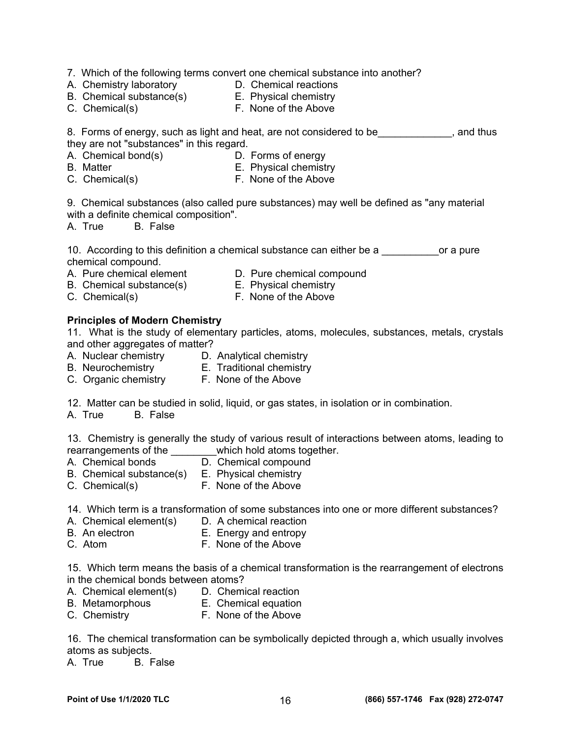- 7. Which of the following terms convert one chemical substance into another?
- A. Chemistry laboratory **D.** Chemical reactions
- B. Chemical substance(s) E. Physical chemistry
- 
- C. Chemical(s) F. None of the Above
- 

8. Forms of energy, such as light and heat, are not considered to be \_\_\_\_\_\_\_\_\_\_\_, and thus they are not "substances" in this regard.

- A. Chemical bond(s) D. Forms of energy
- 
- B. Matter **E. Physical chemistry**
- C. Chemical(s) F. None of the Above

9. Chemical substances (also called pure substances) may well be defined as "any material with a definite chemical composition".

A. True B. False

10. According to this definition a chemical substance can either be a \_\_\_\_\_\_\_\_\_\_or a pure chemical compound.

- A. Pure chemical element D. Pure chemical compound
- B. Chemical substance(s) E. Physical chemistry
	-
- C. Chemical(s) F. None of the Above
- 

### **Principles of Modern Chemistry**

11. What is the study of elementary particles, atoms, molecules, substances, metals, crystals and other aggregates of matter?

- A. Nuclear chemistry D. Analytical chemistry
	-
- 
- B. Neurochemistry E. Traditional chemistry
- C. Organic chemistry F. None of the Above
	-

12. Matter can be studied in solid, liquid, or gas states, in isolation or in combination.

A. True B. False

13. Chemistry is generally the study of various result of interactions between atoms, leading to rearrangements of the \_\_\_\_\_\_\_\_which hold atoms together.

- A. Chemical bonds D. Chemical compound
- B. Chemical substance(s) E. Physical chemistry
- C. Chemical(s) F. None of the Above

14. Which term is a transformation of some substances into one or more different substances?

- A. Chemical element(s) D. A chemical reaction
- B. An electron E. Energy and entropy
- C. Atom F. None of the Above

15. Which term means the basis of a chemical transformation is the rearrangement of electrons in the chemical bonds between atoms?

- A. Chemical element(s) D. Chemical reaction
- B. Metamorphous E. Chemical equation
- C. Chemistry F. None of the Above

16. The chemical transformation can be symbolically depicted through a, which usually involves atoms as subjects.

A. True B. False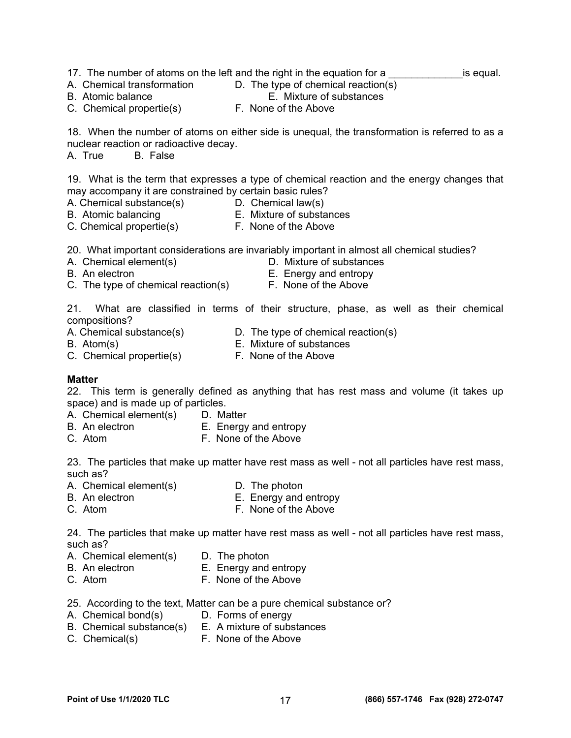- 17. The number of atoms on the left and the right in the equation for a same is equal.
- A. Chemical transformation D. The type of chemical reaction(s)
- B. Atomic balance **E.** Mixture of substances
- C. Chemical propertie(s) F. None of the Above

18. When the number of atoms on either side is unequal, the transformation is referred to as a nuclear reaction or radioactive decay.

A. True B. False

19. What is the term that expresses a type of chemical reaction and the energy changes that may accompany it are constrained by certain basic rules?

- A. Chemical substance(s)  $\qquad \qquad$  D. Chemical law(s)
- 
- B. Atomic balancing E. Mixture of substances
- C. Chemical propertie(s) F. None of the Above
- 

20. What important considerations are invariably important in almost all chemical studies?

- 
- A. Chemical element(s) D. Mixture of substances
- 
- B. An electron **E.** Energy and entropy
- C. The type of chemical reaction(s) F. None of the Above
- 

21. What are classified in terms of their structure, phase, as well as their chemical compositions?

- A. Chemical substance(s) D. The type of chemical reaction(s)
- B. Atom(s) E. Mixture of substances

C. Chemical propertie(s) F. None of the Above

### **Matter**

22. This term is generally defined as anything that has rest mass and volume (it takes up space) and is made up of particles.

- A. Chemical element(s) D. Matter
- B. An electron E. Energy and entropy
- C. Atom F. None of the Above

23. The particles that make up matter have rest mass as well - not all particles have rest mass, such as?

- A. Chemical element(s) D. The photon
- B. An electron E. Energy and entropy
- C. Atom F. None of the Above

24. The particles that make up matter have rest mass as well - not all particles have rest mass, such as?

- A. Chemical element(s) D. The photon
- B. An electron E. Energy and entropy
- C. Atom F. None of the Above
- 25. According to the text, Matter can be a pure chemical substance or?
- A. Chemical bond(s) D. Forms of energy
- B. Chemical substance(s) E. A mixture of substances
- C. Chemical(s) F. None of the Above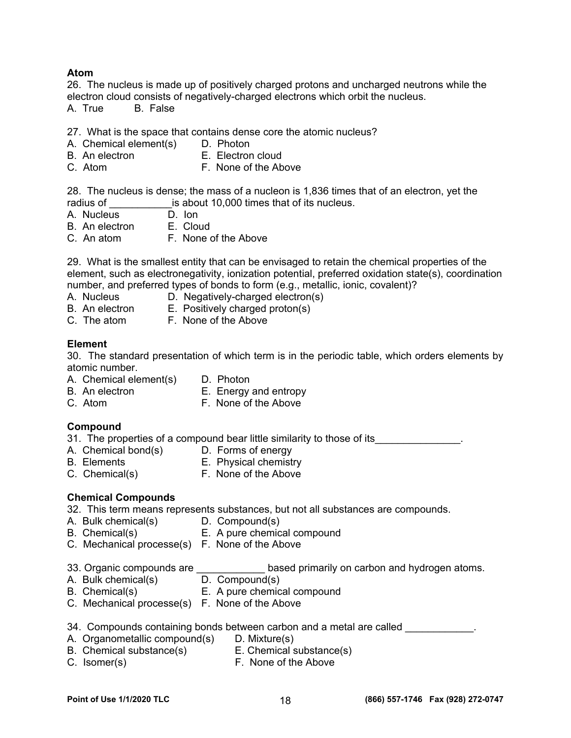### **Atom**

26. The nucleus is made up of positively charged protons and uncharged neutrons while the electron cloud consists of negatively-charged electrons which orbit the nucleus.

A. True B. False

27. What is the space that contains dense core the atomic nucleus?

- A. Chemical element(s) D. Photon
- B. An electron E. Electron cloud
- C. Atom F. None of the Above

28. The nucleus is dense; the mass of a nucleon is 1,836 times that of an electron, yet the radius of \_\_\_\_\_\_\_\_\_\_\_\_\_\_is about 10,000 times that of its nucleus.

- A. Nucleus D. Ion<br>B. An electron E. Cloud
- B. An electron
- C. An atom F. None of the Above

29. What is the smallest entity that can be envisaged to retain the chemical properties of the element, such as electronegativity, ionization potential, preferred oxidation state(s), coordination number, and preferred types of bonds to form (e.g., metallic, ionic, covalent)?

- 
- A. Nucleus D. Negatively-charged electron(s)
- B. An electron E. Positively charged proton(s)
- C. The atom F. None of the Above

### **Element**

30. The standard presentation of which term is in the periodic table, which orders elements by atomic number.

- A. Chemical element(s) D. Photon
- 
- B. An electron E. Energy and entropy
- 
- C. Atom F. None of the Above

### **Compound**

- 31. The properties of a compound bear little similarity to those of its  $\qquad \qquad \ldots$
- A. Chemical bond(s) D. Forms of energy<br>B. Elements B. Physical chemistr
- 
- **E.** Physical chemistry
- 
- C. Chemical(s) F. None of the Above

### **Chemical Compounds**

32. This term means represents substances, but not all substances are compounds.

- A. Bulk chemical(s) D. Compound(s)
- B. Chemical(s) E. A pure chemical compound
- C. Mechanical processe(s) F. None of the Above
- 33. Organic compounds are **Example 23.** based primarily on carbon and hydrogen atoms.
- 
- A. Bulk chemical(s) D. Compound(s)<br>B. Chemical(s) E. A pure chemic E. A pure chemical compound
- C. Mechanical processe(s) F. None of the Above

### 34. Compounds containing bonds between carbon and a metal are called  $\sim$

- A. Organometallic compound(s) D. Mixture(s)
- B. Chemical substance(s) E. Chemical substance(s)
- 
- C. Isomer(s) F. None of the Above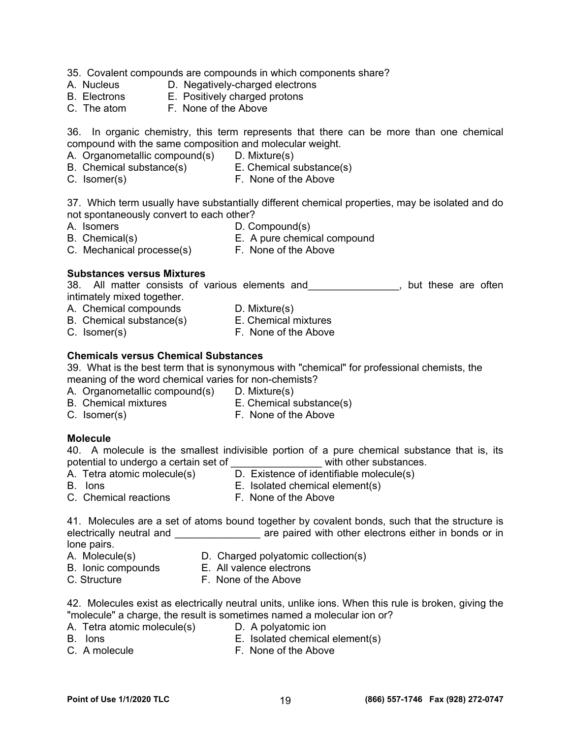- 35. Covalent compounds are compounds in which components share?
- A. Nucleus **D. Negatively-charged electrons**
- B. Electrons E. Positively charged protons
- C. The atom F. None of the Above

36. In organic chemistry, this term represents that there can be more than one chemical compound with the same composition and molecular weight.

- A. Organometallic compound(s) D. Mixture(s)
- B. Chemical substance(s) E. Chemical substance(s)
- 
- 
- C. Isomer(s) The South C. Isomer(s) F. None of the Above

37. Which term usually have substantially different chemical properties, may be isolated and do not spontaneously convert to each other?

- A. Isomers D. Compound(s)
	-
- B. Chemical(s) E. A pure chemical compound
- C. Mechanical processe(s) F. None of the Above

### **Substances versus Mixtures**

38. All matter consists of various elements and Theorem and These are often intimately mixed together.

- A. Chemical compounds D. Mixture(s)
- B. Chemical substance(s) E. Chemical mixtures
- 
- 
- 
- C. Isomer(s) The South C. Isomer(s) F. None of the Above

### **Chemicals versus Chemical Substances**

39. What is the best term that is synonymous with "chemical" for professional chemists, the meaning of the word chemical varies for non-chemists?

- A. Organometallic compound(s) D. Mixture(s)
- B. Chemical mixtures E. Chemical substance(s)
- C. Isomer(s) The South C. Isomer(s) F. None of the Above
- 
- **Molecule**

40. A molecule is the smallest indivisible portion of a pure chemical substance that is, its potential to undergo a certain set of **with other substances**.

- A. Tetra atomic molecule(s) D. Existence of identifiable molecule(s)
- 
- 
- B. Ions E. Isolated chemical element(s)
- 
- C. Chemical reactions F. None of the Above

41. Molecules are a set of atoms bound together by covalent bonds, such that the structure is electrically neutral and \_\_\_\_\_\_\_\_\_\_\_\_\_\_\_\_\_\_\_\_ are paired with other electrons either in bonds or in lone pairs.

- 
- A. Molecule(s) D. Charged polyatomic collection(s)
- B. Ionic compounds E. All valence electrons
- C. Structure F. None of the Above
- 42. Molecules exist as electrically neutral units, unlike ions. When this rule is broken, giving the "molecule" a charge, the result is sometimes named a molecular ion or?
- A. Tetra atomic molecule(s) D. A polyatomic ion
- 
- B. Ions E. Isolated chemical element(s)
- C. A molecule **F. None of the Above** 
	-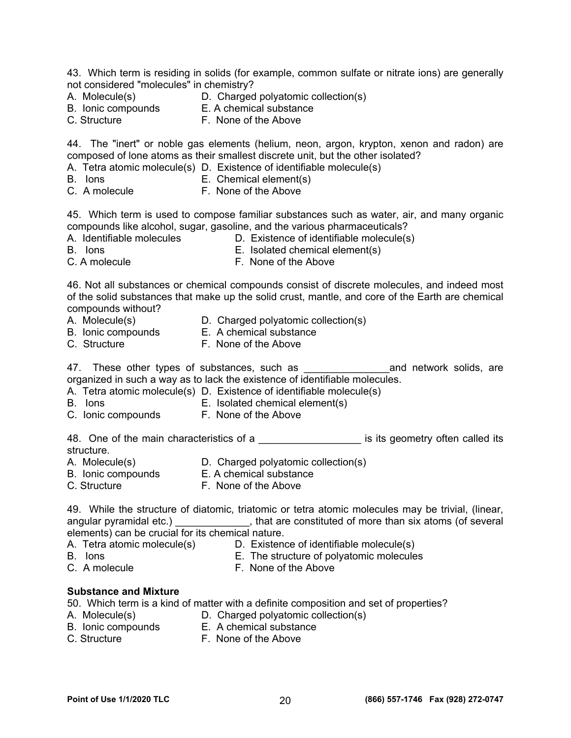43. Which term is residing in solids (for example, common sulfate or nitrate ions) are generally not considered "molecules" in chemistry?

- A. Molecule(s) **D.** Charged polyatomic collection(s)
- B. Ionic compounds E. A chemical substance
- 
- C. Structure **F. None of the Above**

44. The "inert" or noble gas elements (helium, neon, argon, krypton, xenon and radon) are composed of lone atoms as their smallest discrete unit, but the other isolated?

- A. Tetra atomic molecule(s) D. Existence of identifiable molecule(s)
- B. Ions E. Chemical element(s)
- C. A molecule F. None of the Above

45. Which term is used to compose familiar substances such as water, air, and many organic compounds like alcohol, sugar, gasoline, and the various pharmaceuticals?

- 
- A. Identifiable molecules **D. Existence of identifiable molecule(s)**
- B. Ions E. Isolated chemical element(s)
- 
- C. A molecule F. None of the Above

46. Not all substances or chemical compounds consist of discrete molecules, and indeed most of the solid substances that make up the solid crust, mantle, and core of the Earth are chemical compounds without?

- A. Molecule(s) **D.** Charged polyatomic collection(s)
- B. Ionic compounds E. A chemical substance
- C. Structure F. None of the Above

47. These other types of substances, such as **Example 20** and network solids, are organized in such a way as to lack the existence of identifiable molecules.

- A. Tetra atomic molecule(s) D. Existence of identifiable molecule(s)
- B. Ions E. Isolated chemical element(s)
- C. Ionic compounds F. None of the Above

48. One of the main characteristics of a **witch its intervalled** its geometry often called its structure.

- A. Molecule(s) **D. Charged polyatomic collection(s)**
- B. Ionic compounds E. A chemical substance
	-
- C. Structure **F. None of the Above**

49. While the structure of diatomic, triatomic or tetra atomic molecules may be trivial, (linear, angular pyramidal etc.) \_\_\_\_\_\_\_\_\_\_\_\_\_\_, that are constituted of more than six atoms (of several elements) can be crucial for its chemical nature.

- A. Tetra atomic molecule(s) D. Existence of identifiable molecule(s)
- B. Ions E. The structure of polyatomic molecules
- 
- C. A molecule **F. None of the Above**

### **Substance and Mixture**

50. Which term is a kind of matter with a definite composition and set of properties?

- A. Molecule(s) **D.** Charged polyatomic collection(s)
- B. Ionic compounds E. A chemical substance
- C. Structure **F. None of the Above**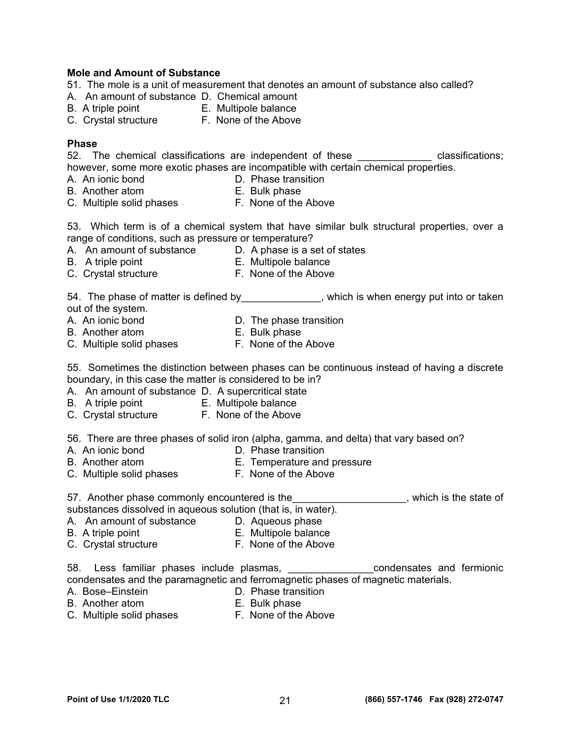#### **Mole and Amount of Substance**

- 51. The mole is a unit of measurement that denotes an amount of substance also called?
- A. An amount of substance D. Chemical amount
- B. A triple point E. Multipole balance
- C. Crystal structure F. None of the Above

#### **Phase**

52. The chemical classifications are independent of these \_\_\_\_\_\_\_\_\_\_\_\_\_\_ classifications; however, some more exotic phases are incompatible with certain chemical properties.

- A. An ionic bond **D.** Phase transition
- B. Another atom **E. Bulk phase**
- 
- C. Multiple solid phases F. None of the Above

53. Which term is of a chemical system that have similar bulk structural properties, over a range of conditions, such as pressure or temperature?

- A. An amount of substance D. A phase is a set of states
- B. A triple point **E. Multipole balance**
- C. Crystal structure F. None of the Above
- 

54. The phase of matter is defined by \_\_\_\_\_\_\_\_\_\_\_\_\_, which is when energy put into or taken out of the system.

- A. An ionic bond **D.** The phase transition
- B. Another atom E. Bulk phase
- C. Multiple solid phases F. None of the Above

55. Sometimes the distinction between phases can be continuous instead of having a discrete boundary, in this case the matter is considered to be in?

- A. An amount of substance D. A supercritical state
- B. A triple point E. Multipole balance
- C. Crystal structure F. None of the Above

56. There are three phases of solid iron (alpha, gamma, and delta) that vary based on?

- 
- A. An ionic bond **D. Phase transition**
- B. Another atom E. Temperature and pressure
- C. Multiple solid phases F. None of the Above

57. Another phase commonly encountered is the **EXAC CONCOCOL**, which is the state of substances dissolved in aqueous solution (that is, in water).

- A. An amount of substance D. Aqueous phase
- B. A triple point **E. Multipole balance**
- C. Crystal structure F. None of the Above

58. Less familiar phases include plasmas, \_\_\_\_\_\_\_\_\_\_\_\_\_\_\_\_\_\_condensates and fermionic condensates and the paramagnetic and ferromagnetic phases of magnetic materials.

- A. Bose–Einstein **D. Phase transition**
- B. Another atom E. Bulk phase
- 
- C. Multiple solid phases F. None of the Above
	-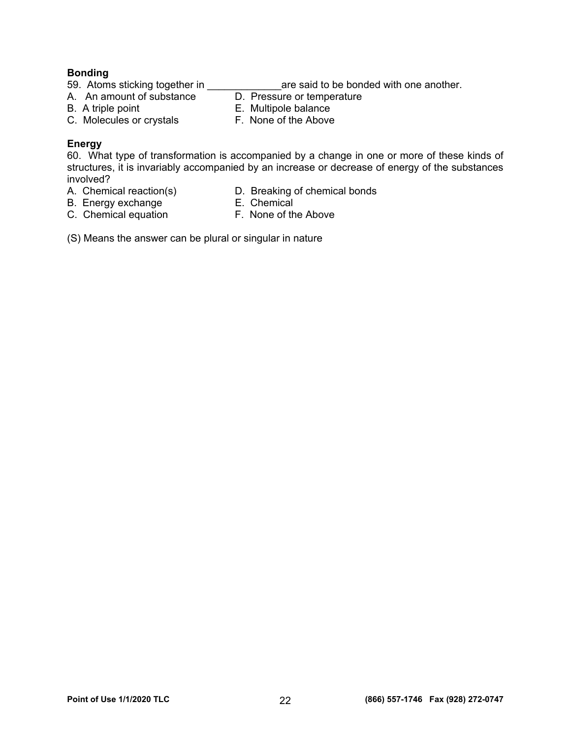#### **Bonding**

59. Atoms sticking together in \_\_\_\_\_\_\_\_\_\_\_\_\_\_\_\_\_\_\_are said to be bonded with one another.

A. An amount of substance **D. Pressure or temperature** 

- 
- B. A triple point **E. Multipole balance**
- C. Molecules or crystals F. None of the Above
- -

### **Energy**

60. What type of transformation is accompanied by a change in one or more of these kinds of structures, it is invariably accompanied by an increase or decrease of energy of the substances involved?<br>A. Chemical reaction(s)

- 
- D. Breaking of chemical bonds<br>E. Chemical
- B. Energy exchange
- C. Chemical equation F. None of the Above
- 

(S) Means the answer can be plural or singular in nature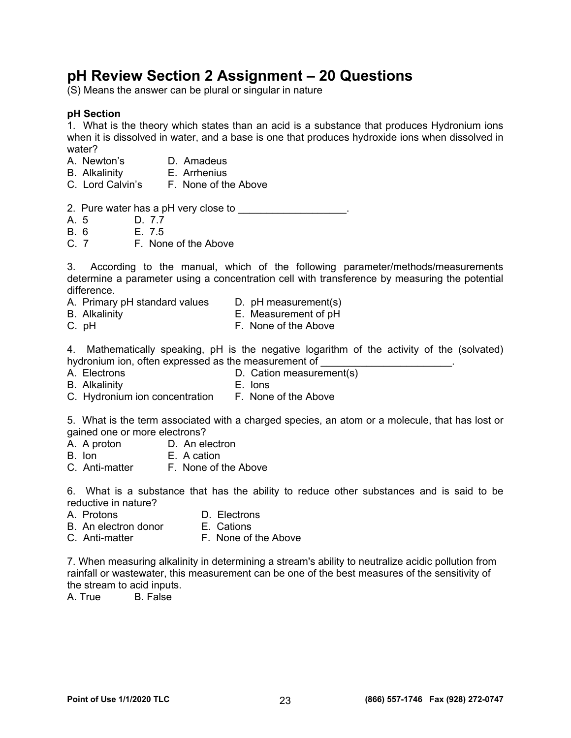## **pH Review Section 2 Assignment – 20 Questions**

(S) Means the answer can be plural or singular in nature

#### **pH Section**

1. What is the theory which states than an acid is a substance that produces Hydronium ions when it is dissolved in water, and a base is one that produces hydroxide ions when dissolved in water?

- A. Newton's **D. Amadeus**<br>B. Alkalinity **B. Arrhenius**
- B. Alkalinity
- C. Lord Calvin's F. None of the Above
- 2. Pure water has a pH very close to \_\_\_\_\_\_\_\_\_\_\_\_\_\_\_\_\_\_\_\_.
- A. 5 D. 7.7
- B. 6 E. 7.5
- C. 7 F. None of the Above

3. According to the manual, which of the following parameter/methods/measurements determine a parameter using a concentration cell with transference by measuring the potential difference.

- A. Primary pH standard values D. pH measurement(s)
- B. Alkalinity E. Measurement of pH
- C. pH F. None of the Above

4. Mathematically speaking, pH is the negative logarithm of the activity of the (solvated) hydronium ion, often expressed as the measurement of

- A. Electrons **D. Cation measurement(s)**
- B. Alkalinity E. Ions
- C. Hydronium ion concentration F. None of the Above

5. What is the term associated with a charged species, an atom or a molecule, that has lost or gained one or more electrons?

- A. A proton D. An electron
- B. Ion E. A cation
- C. Anti-matter F. None of the Above

6. What is a substance that has the ability to reduce other substances and is said to be reductive in nature?

- A. Protons **D. Electrons**
- B. An electron donor E. Cations
- C. Anti-matter F. None of the Above

7. When measuring alkalinity in determining a stream's ability to neutralize acidic pollution from rainfall or wastewater, this measurement can be one of the best measures of the sensitivity of the stream to acid inputs.

A. True B. False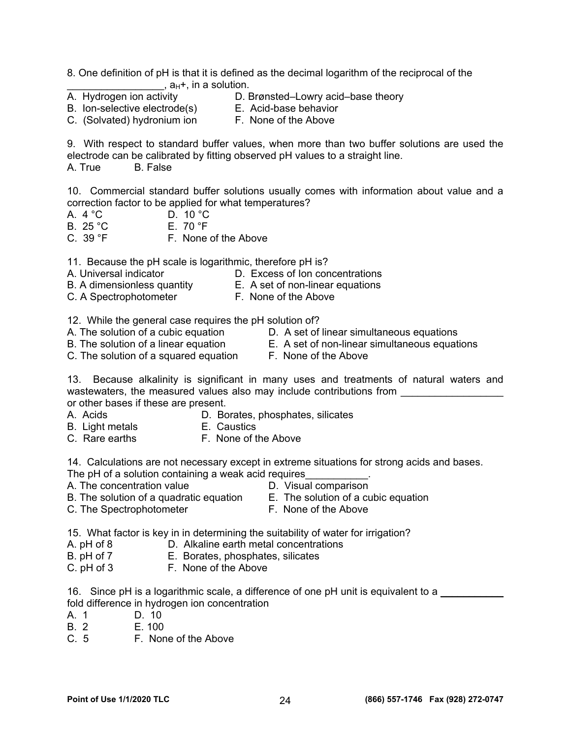8. One definition of pH is that it is defined as the decimal logarithm of the reciprocal of the  $\overline{A}$ . Hydrogen ion activity **and the solution.**<br>A. Hydrogen ion activity **D.** E

- 
- D. Brønsted–Lowry acid–base theory
- B. Ion-selective electrode(s) E. Acid-base behavior C. (Solvated) hydronium ion F. None of the Above

9. With respect to standard buffer values, when more than two buffer solutions are used the electrode can be calibrated by fitting observed pH values to a straight line. A. True B. False

10. Commercial standard buffer solutions usually comes with information about value and a correction factor to be applied for what temperatures?

- A. 4 °C D. 10 °C<br>B. 25 °C E. 70 °F
- B.  $25 °C$
- $C. 39 °F$  F. None of the Above

11. Because the pH scale is logarithmic, therefore pH is?

- A. Universal indicator D. Excess of Ion concentrations
- B. A dimensionless quantity E.A set of non-linear equations
- C. A Spectrophotometer **F. None of the Above**
- 12. While the general case requires the pH solution of?
- 
- 
- C. The solution of a squared equation F. None of the Above
- A. The solution of a cubic equation **D.** A set of linear simultaneous equations
- B. The solution of a linear equationE.A set of non-linear simultaneous equations
	-

13. Because alkalinity is significant in many uses and treatments of natural waters and wastewaters, the measured values also may include contributions from or other bases if these are present.

- A. Acids D. Borates, phosphates, silicates
- B. Light metals **E. Caustics**
- C. Rare earths **F. None of the Above**

14. Calculations are not necessary except in extreme situations for strong acids and bases.

- The pH of a solution containing a weak acid requires
- A. The concentration value **D.** Visual comparison
	-
- B. The solution of a quadratic equation E.The solution of a cubic equation
	-
- C. The Spectrophotometer **F. None of the Above**
- 15. What factor is key in in determining the suitability of water for irrigation?
- A. pH of 8 **D.** Alkaline earth metal concentrations
- B. pH of 7E.Borates, phosphates, silicates
- C. pH of 3 F. None of the Above
- 16. Since pH is a logarithmic scale, a difference of one pH unit is equivalent to a \_\_\_\_\_\_\_\_\_\_\_\_\_\_\_ fold difference in hydrogen ion concentration
- A. 1 D. 10
- B. 2 E. 100
- C. 5 F. None of the Above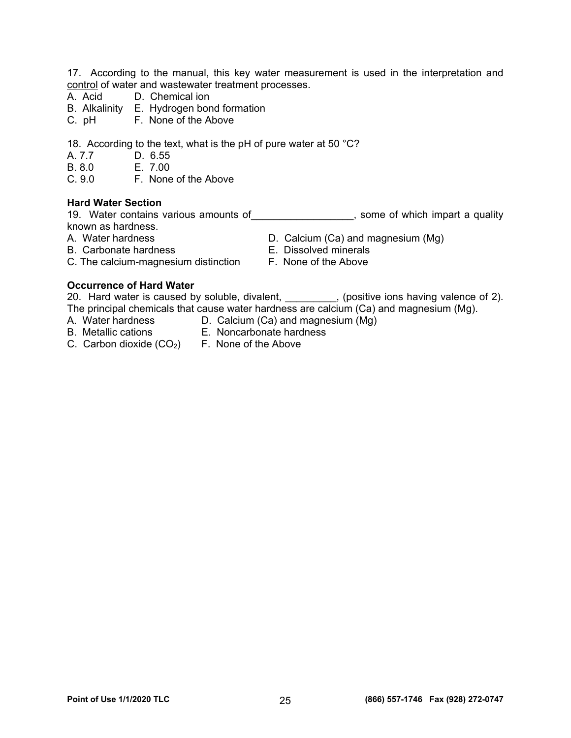17. According to the manual, this key water measurement is used in the interpretation and control of water and wastewater treatment processes.

- A. Acid D. Chemical ion
- B. Alkalinity E. Hydrogen bond formation
- C. pH F. None of the Above

18. According to the text, what is the pH of pure water at 50 °C?

- A. 7.7 D. 6.55
- 
- B. 8.0 E. 7.00<br>C. 9.0 F. None F. None of the Above

#### **Hard Water Section**

19. Water contains various amounts of the same of which impart a quality known as hardness.

- 
- 
- A. Water hardness **D. Calcium (Ca) and magnesium (Mg)**
- B. Carbonate hardness E. Dissolved minerals
- C. The calcium-magnesium distinction F. None of the Above

#### **Occurrence of Hard Water**

20. Hard water is caused by soluble, divalent, 100 moral exactive ions having valence of 2). The principal chemicals that cause water hardness are calcium (Ca) and magnesium (Mg).

- A. Water hardness D. Calcium (Ca) and magnesium (Mg)
- B. Metallic cations E. Noncarbonate hardness
- C. Carbon dioxide  $(CO_2)$  F. None of the Above
	-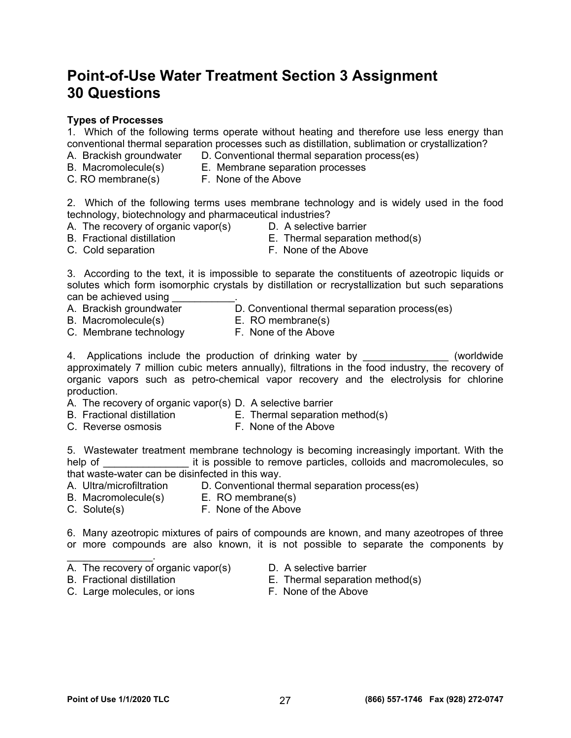## **Point-of-Use Water Treatment Section 3 Assignment 30 Questions**

#### **Types of Processes**

1. Which of the following terms operate without heating and therefore use less energy than conventional thermal separation processes such as distillation, sublimation or crystallization?

- A. Brackish groundwater D. Conventional thermal separation process(es)
- B. Macromolecule(s) E. Membrane separation processes
- C. RO membrane(s) F. None of the Above

2. Which of the following terms uses membrane technology and is widely used in the food technology, biotechnology and pharmaceutical industries?

- A. The recovery of organic vapor(s) D. A selective barrier
	-
- B. Fractional distillation E. Thermal separation method(s)
	-
- 
- C. Cold separation **F. None of the Above**

3. According to the text, it is impossible to separate the constituents of azeotropic liquids or solutes which form isomorphic crystals by distillation or recrystallization but such separations can be achieved using

- D. Conventional thermal separation process(es) A. Brackish groundwater <br>B. Macromolecule(s) E. RO membrane(s)
- 
- C. Membrane technology F. None of the Above

4. Applications include the production of drinking water by **Example 20** (worldwide approximately 7 million cubic meters annually), filtrations in the food industry, the recovery of organic vapors such as petro-chemical vapor recovery and the electrolysis for chlorine production.

- A. The recovery of organic vapor(s) D. A selective barrier
- B. Fractional distillation E. Thermal separation method(s)
- C. Reverse osmosis **F. None of the Above** 
	-

5. Wastewater treatment membrane technology is becoming increasingly important. With the help of **Example 20** it is possible to remove particles, colloids and macromolecules, so that waste-water can be disinfected in this way.

- A. Ultra/microfiltration D. Conventional thermal separation process(es)<br>B. Macromolecule(s) E. RO membrane(s)
- B. Macromolecule(s)
	-
- C. Solute(s) F. None of the Above

6. Many azeotropic mixtures of pairs of compounds are known, and many azeotropes of three or more compounds are also known, it is not possible to separate the components by

- $\mathcal{L}_\text{max}$  . The set of the set of the set of the set of the set of the set of the set of the set of the set of the set of the set of the set of the set of the set of the set of the set of the set of the set of the set A. The recovery of organic vapor(s) D. A selective barrier
	-
- 
- C. Large molecules, or ions F. None of the Above
- B. Fractional distillation E. Thermal separation method(s)
	-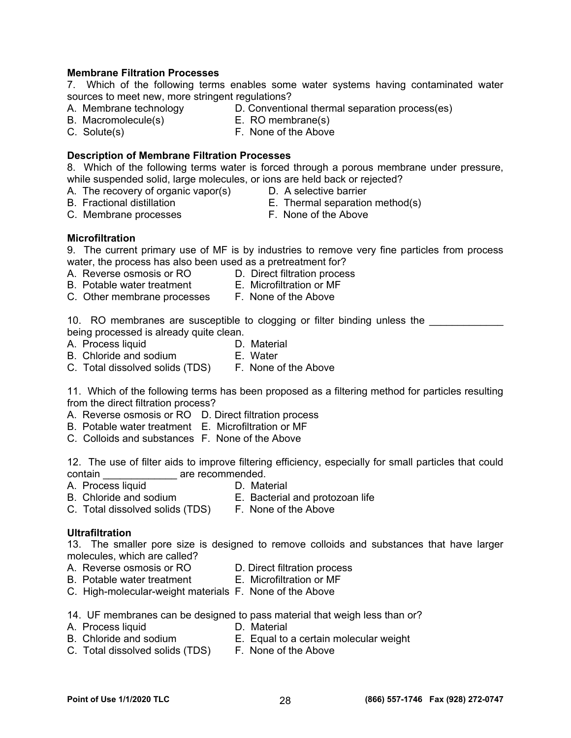### **Membrane Filtration Processes**

7. Which of the following terms enables some water systems having contaminated water sources to meet new, more stringent regulations?<br>A. Membrane technology D. Conventio

- 
- D. Conventional thermal separation process(es)<br>E. RO membrane(s)
- B. Macromolecule(s)
- 
- 
- C. Solute(s) F. None of the Above

#### **Description of Membrane Filtration Processes**

8. Which of the following terms water is forced through a porous membrane under pressure, while suspended solid, large molecules, or ions are held back or rejected?

- A. The recovery of organic vapor(s) D. A selective barrier
- 
- 
- B. Fractional distillation E. Thermal separation method(s)
- C. Membrane processes F. None of the Above
- 

### **Microfiltration**

9. The current primary use of MF is by industries to remove very fine particles from process water, the process has also been used as a pretreatment for?

- A. Reverse osmosis or RO D. Direct filtration process
- B. Potable water treatment E. Microfiltration or MF
	-
- C. Other membrane processes F. None of the Above

10. RO membranes are susceptible to clogging or filter binding unless the being processed is already quite clean.

- A. Process liquid D. Material
	-
- B. Chloride and sodium E. Water
- C. Total dissolved solids (TDS) F. None of the Above

11. Which of the following terms has been proposed as a filtering method for particles resulting from the direct filtration process?

- A. Reverse osmosis or RO D. Direct filtration process
- B. Potable water treatment E. Microfiltration or MF
- C. Colloids and substances F. None of the Above

12. The use of filter aids to improve filtering efficiency, especially for small particles that could contain \_\_\_\_\_\_\_\_\_\_\_\_\_\_\_\_ are recommended.

- A. Process liquid D. Material
- B. Chloride and sodium E. Bacterial and protozoan life
- C. Total dissolved solids (TDS) F. None of the Above
- **Ultrafiltration**

13. The smaller pore size is designed to remove colloids and substances that have larger molecules, which are called?

- A. Reverse osmosis or RO D. Direct filtration process
	-
- B. Potable water treatment E. Microfiltration or MF
- C. High-molecular-weight materials F. None of the Above

14. UF membranes can be designed to pass material that weigh less than or?

- A. Process liquid **D. Material**
- B. Chloride and sodium E. Equal to a certain molecular weight
- C. Total dissolved solids (TDS) F. None of the Above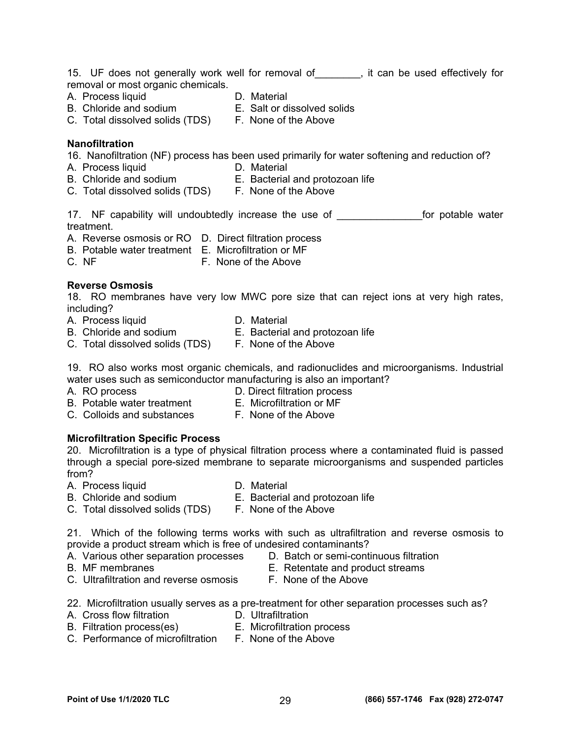- A. Process liquid **D. Material** 
	-
- B. Chloride and sodium E. Salt or dissolved solids
- C. Total dissolved solids (TDS) F. None of the Above

### **Nanofiltration**

16. Nanofiltration (NF) process has been used primarily for water softening and reduction of?

- A. Process liquid **D. Material**
- B. Chloride and sodium E. Bacterial and protozoan life
- C. Total dissolved solids (TDS) F. None of the Above
	-

17. NF capability will undoubtedly increase the use of The Matematic for potable water treatment.

- A. Reverse osmosis or RO D. Direct filtration process
- B. Potable water treatment E. Microfiltration or MF
- C. NF F. None of the Above

### **Reverse Osmosis**

18. RO membranes have very low MWC pore size that can reject ions at very high rates, including?

- A. Process liquid **D. Material**
- 
- B. Chloride and sodium E. Bacterial and protozoan life
	-
- C. Total dissolved solids (TDS) F. None of the Above
- 19. RO also works most organic chemicals, and radionuclides and microorganisms. Industrial water uses such as semiconductor manufacturing is also an important?
- 
- A. RO process D. Direct filtration process
- B. Potable water treatment E. Microfiltration or MF
	-
- C. Colloids and substances F. None of the Above
- 

### **Microfiltration Specific Process**

20.Microfiltration is a type of physical filtration process where a contaminated fluid is passed through a special pore-sized membrane to separate microorganisms and suspended particles from?

A. Process liquid **D. Material** 

- B. Chloride and sodium E. Bacterial and protozoan life
- 
- C. Total dissolved solids (TDS) F. None of the Above
- 

21. Which of the following terms works with such as ultrafiltration and reverse osmosis to provide a product stream which is free of undesired contaminants?

- A. Various other separation processes D. Batch or semi-continuous filtration
- 
- B. MF membranes E. Retentate and product streams
- C. Ultrafiltration and reverse osmosis F. None of the Above
- 22. Microfiltration usually serves as a pre-treatment for other separation processes such as?
- A. Cross flow filtration **D.** Ultrafiltration
	-
- B. Filtration process(es) E. Microfiltration process C. Performance of microfiltration F. None of the Above
-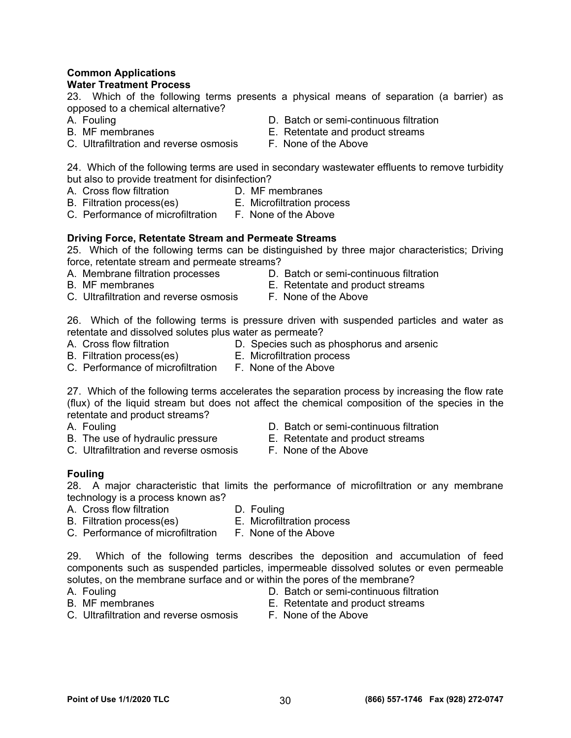### **Common Applications**

### **Water Treatment Process**

23. Which of the following terms presents a physical means of separation (a barrier) as opposed to a chemical alternative?

- 
- C. Ultrafiltration and reverse osmosis F. None of the Above
- A. Fouling D. Batch or semi-continuous filtration
- B. MF membranes E. Retentate and product streams
	-

24. Which of the following terms are used in secondary wastewater effluents to remove turbidity but also to provide treatment for disinfection?<br>A. Cross flow filtration b. MF m

- A. Cross flow filtration **D. MF membranes** 
	-
- B. Filtration process(es) E. Microfiltration process
- C. Performance of microfiltration F. None of the Above

### **Driving Force, Retentate Stream and Permeate Streams**

25. Which of the following terms can be distinguished by three major characteristics; Driving force, retentate stream and permeate streams?

- 
- A. Membrane filtration processes D. Batch or semi-continuous filtration
- 
- B. MF membranes E. Retentate and product streams
- C. Ultrafiltration and reverse osmosis F. None of the Above
	-

26. Which of the following terms is pressure driven with suspended particles and water as retentate and dissolved solutes plus water as permeate?

- A. Cross flow filtration **D.** Species such as phosphorus and arsenic
- B. Filtration process(es) E. Microfiltration process
- C. Performance of microfiltration F. None of the Above
- 27. Which of the following terms accelerates the separation process by increasing the flow rate (flux) of the liquid stream but does not affect the chemical composition of the species in the
- retentate and product streams?
- 
- A. Fouling D. Batch or semi-continuous filtration
- B. The use of hydraulic pressure **E.** Retentate and product streams
- C. Ultrafiltration and reverse osmosis F. None of the Above
	-

### **Fouling**

28. A major characteristic that limits the performance of microfiltration or any membrane technology is a process known as?

- A. Cross flow filtration **D. Fouling**
- 
- B. Filtration process(es) E. Microfiltration process
- C. Performance of microfiltration F. None of the Above

29. Which of the following terms describes the deposition and accumulation of feed components such as suspended particles, impermeable dissolved solutes or even permeable solutes, on the membrane surface and or within the pores of the membrane?

- 
- A. Fouling D. Batch or semi-continuous filtration
- B. MF membranes E. Retentate and product streams
- C. Ultrafiltration and reverse osmosis F. None of the Above
	-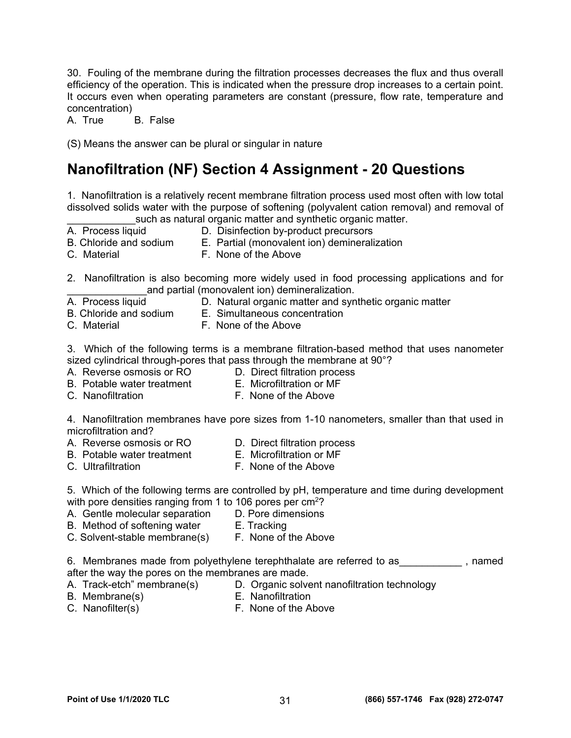30. Fouling of the membrane during the filtration processes decreases the flux and thus overall efficiency of the operation. This is indicated when the pressure drop increases to a certain point. It occurs even when operating parameters are constant (pressure, flow rate, temperature and concentration)

A. True B. False

(S) Means the answer can be plural or singular in nature

## **Nanofiltration (NF) Section 4 Assignment - 20 Questions**

1. Nanofiltration is a relatively recent membrane filtration process used most often with low total dissolved solids water with the purpose of softening (polyvalent cation removal) and removal of such as natural organic matter and synthetic organic matter.<br>A. Process liquid **D. Disinfection by-product precursors** 

- 
- 
- 
- A. Process liquid **D.** Disinfection by-product precursors<br>B. Chloride and sodium **E. Partial (monovalent ion)** deminerali E. Partial (monovalent ion) demineralization
- 
- C. Material F. None of the Above

2. Nanofiltration is also becoming more widely used in food processing applications and for and partial (monovalent ion) demineralization.

- A. Process liquid D. Natural organic matter and synthetic organic matter
- B. Chloride and sodium E. Simultaneous concentration
- C. Material F. None of the Above

3. Which of the following terms is a membrane filtration-based method that uses nanometer sized cylindrical through-pores that pass through the membrane at 90°?

- A. Reverse osmosis or RO D. Direct filtration process
- B. Potable water treatment E. Microfiltration or MF
- 
- C. Nanofiltration F. None of the Above

4. Nanofiltration membranes have pore sizes from 1-10 nanometers, smaller than that used in microfiltration and?

- A. Reverse osmosis or RO D. Direct filtration process
- B. Potable water treatment E. Microfiltration or MF
- 
- C. Ultrafiltration **F. None of the Above**

5. Which of the following terms are controlled by pH, temperature and time during development

- with pore densities ranging from 1 to 106 pores per cm<sup>2</sup>?<br>A. Gentle molecular separation D. Pore dimensions A. Gentle molecular separation
- B. Method of softening water **E. Tracking**
- C. Solvent-stable membrane(s) F. None of the Above

6. Membranes made from polyethylene terephthalate are referred to as \_\_\_\_\_\_\_\_\_\_\_\_, named after the way the pores on the membranes are made.<br>A. Track-etch" membrane(s) D. Organic solve

- 
- D. Organic solvent nanofiltration technology B. Membrane(s) E. Nanofiltration
- 
- C. Nanofilter(s) F. None of the Above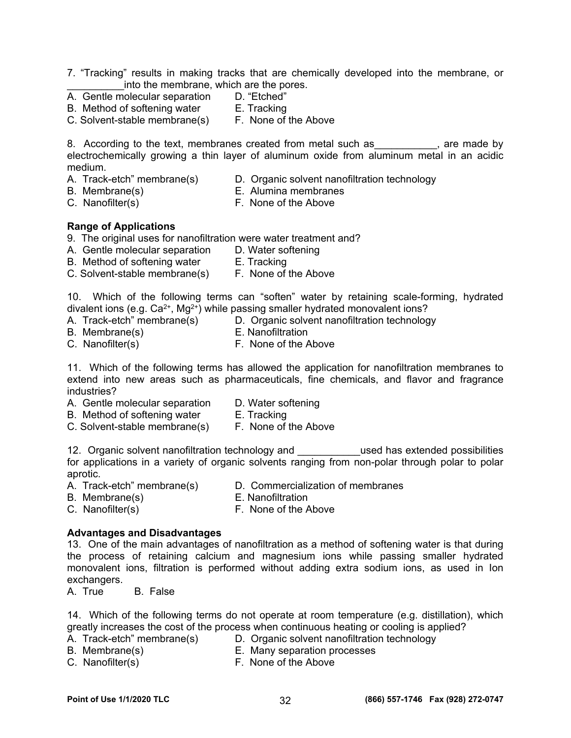- 7. "Tracking" results in making tracks that are chemically developed into the membrane, or into the membrane, which are the pores.
- A. Gentle molecular separation D. "Etched"<br>B. Method of softening water B. Tracking
- B. Method of softening water
- C. Solvent-stable membrane(s) F. None of the Above

8. According to the text, membranes created from metal such as example are made by electrochemically growing a thin layer of aluminum oxide from aluminum metal in an acidic medium.

- 
- A. Track-etch" membrane(s) D. Organic solvent nanofiltration technology
- 
- B. Membrane(s) E. Alumina membranes
- C. Nanofilter(s) F. None of the Above
	-

### **Range of Applications**

- 9. The original uses for nanofiltration were water treatment and?
- A. Gentle molecular separation D. Water softening
- B. Method of softening water **E. Tracking**
- C. Solvent-stable membrane(s) F. None of the Above

10. Which of the following terms can "soften" water by retaining scale-forming, hydrated divalent ions (e.g.  $Ca^{2+}$ , Mg<sup>2+</sup>) while passing smaller hydrated monovalent ions?

- A. Track-etch" membrane(s) D. Organic solvent nanofiltration technology
- B. Membrane(s) E. Nanofiltration
- C. Nanofilter(s) F. None of the Above

11. Which of the following terms has allowed the application for nanofiltration membranes to extend into new areas such as pharmaceuticals, fine chemicals, and flavor and fragrance industries?

- A. Gentle molecular separation D. Water softening
	-
- B. Method of softening water **E. Tracking**
- C. Solvent-stable membrane(s) F. None of the Above

12. Organic solvent nanofiltration technology and **the used has extended possibilities** for applications in a variety of organic solvents ranging from non-polar through polar to polar aprotic.

- A. Track-etch" membrane(s) D. Commercialization of membranes
- 
- B. Membrane(s) E. Nanofiltration
- C. Nanofilter(s) F. None of the Above
	-

### **Advantages and Disadvantages**

13. One of the main advantages of nanofiltration as a method of softening water is that during the process of retaining calcium and magnesium ions while passing smaller hydrated monovalent ions, filtration is performed without adding extra sodium ions, as used in Ion exchangers.

A. True B. False

14. Which of the following terms do not operate at room temperature (e.g. distillation), which greatly increases the cost of the process when continuous heating or cooling is applied?<br>A. Track-etch" membrane(s) D. Organic solvent nanofiltration technology

- 
- D. Organic solvent nanofiltration technology

- 
- B. Membrane(s) E. Many separation processes C. Nanofilter(s) F. None of the Above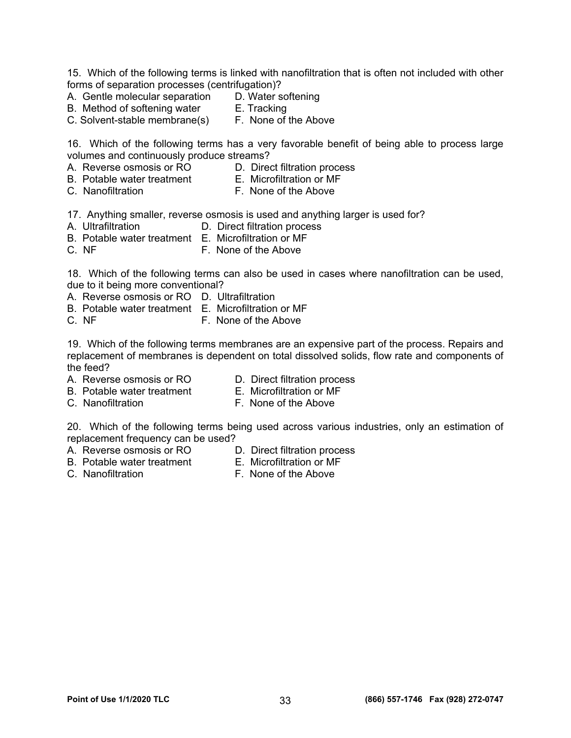15. Which of the following terms is linked with nanofiltration that is often not included with other forms of separation processes (centrifugation)?

- A. Gentle molecular separation D. Water softening<br>B. Method of softening water E. Tracking
	-
- B. Method of softening water E. Tracking<br>C. Solvent-stable membrane(s) F. None of the Above C. Solvent-stable membrane(s)

16. Which of the following terms has a very favorable benefit of being able to process large volumes and continuously produce streams?

- A. Reverse osmosis or RO D. Direct filtration process
- B. Potable water treatment E. Microfiltration or MF
- 
- C. Nanofiltration **F. None of the Above**

17. Anything smaller, reverse osmosis is used and anything larger is used for?

- A. Ultrafiltration **D. Direct filtration process**
- B. Potable water treatment E. Microfiltration or MF
- C. NF F. None of the Above

18. Which of the following terms can also be used in cases where nanofiltration can be used, due to it being more conventional?

- A. Reverse osmosis or RO D. Ultrafiltration
- B. Potable water treatment E. Microfiltration or MF
- C. NF **F. None of the Above**

19. Which of the following terms membranes are an expensive part of the process. Repairs and replacement of membranes is dependent on total dissolved solids, flow rate and components of the feed?

- A. Reverse osmosis or RO D. Direct filtration process
	-
- B. Potable water treatment E. Microfiltration or MF
- C. Nanofiltration F. None of the Above

20. Which of the following terms being used across various industries, only an estimation of replacement frequency can be used?

- A. Reverse osmosis or RO D. Direct filtration process<br>
B. Potable water treatment E. Microfiltration or MF
	-
- B. Potable water treatment
- C. Nanofiltration **F. None of the Above**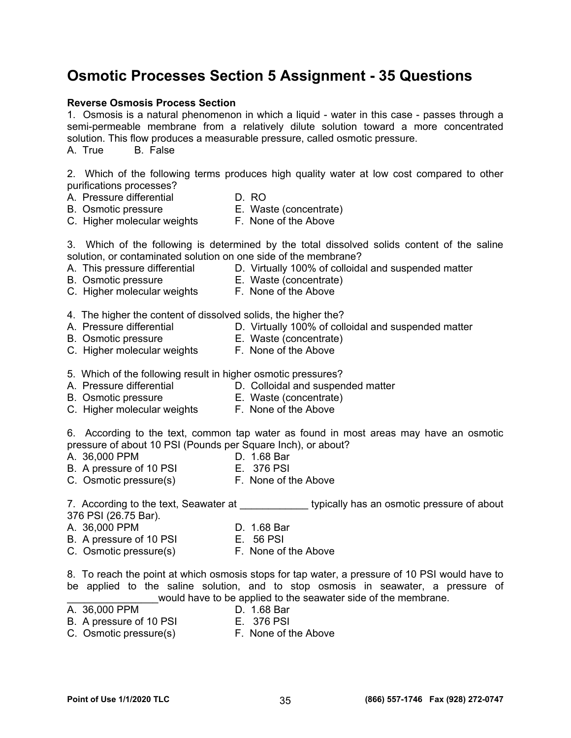## **Osmotic Processes Section 5 Assignment - 35 Questions**

#### **Reverse Osmosis Process Section**

1. Osmosis is a natural phenomenon in which a liquid - water in this case - passes through a semi-permeable membrane from a relatively dilute solution toward a more concentrated solution. This flow produces a measurable pressure, called osmotic pressure. A. True B. False

2. Which of the following terms produces high quality water at low cost compared to other purifications processes?

- A. Pressure differential D. RO
- 
- 
- B. Osmotic pressure E. Waste (concentrate)
- C. Higher molecular weights F. None of the Above

3. Which of the following is determined by the total dissolved solids content of the saline solution, or contaminated solution on one side of the membrane?

- 
- A. This pressure differential  $\qquad \qquad$  D. Virtually 100% of colloidal and suspended matter
- 
- B. Osmotic pressure E. Waste (concentrate)
- C. Higher molecular weights F. None of the Above
	-
- 4. The higher the content of dissolved solids, the higher the?
- A. Pressure differential **D.** Virtually 100% of colloidal and suspended matter
- B. Osmotic pressure E. Waste (concentrate)
- C. Higher molecular weights F. None of the Above
- 
- 5. Which of the following result in higher osmotic pressures?
- A. Pressure differential **D. Colloidal and suspended matter**
- B. Osmotic pressure E. Waste (concentrate)
- C. Higher molecular weights F. None of the Above
	-

6. According to the text, common tap water as found in most areas may have an osmotic pressure of about 10 PSI (Pounds per Square Inch), or about?

- A. 36,000 PPM D. 1.68 Bar
- B. A pressure of 10 PSI E. 376 PSI
- C. Osmotic pressure(s) F. None of the Above

7. According to the text, Seawater at The Taylor extraordive has an osmotic pressure of about 376 PSI (26.75 Bar).

- A. 36,000 PPM D. 1.68 Bar
	-
- B. A pressure of 10 PSI E. 56 PSI<br>C. Osmotic pressure(s) F. None of the Above
- C. Osmotic pressure(s)

8. To reach the point at which osmosis stops for tap water, a pressure of 10 PSI would have to be applied to the saline solution, and to stop osmosis in seawater, a pressure of would have to be applied to the seawater side of the membrane.<br>D. 1.68 Bar

A. 36,000 PPM

- 
- B. A pressure of 10 PSI E. 376 PSI
- C. Osmotic pressure(s) F. None of the Above

**Point of Use 1/1/2020 TLC (866) 557-1746 Fax (928) 272-0747** 35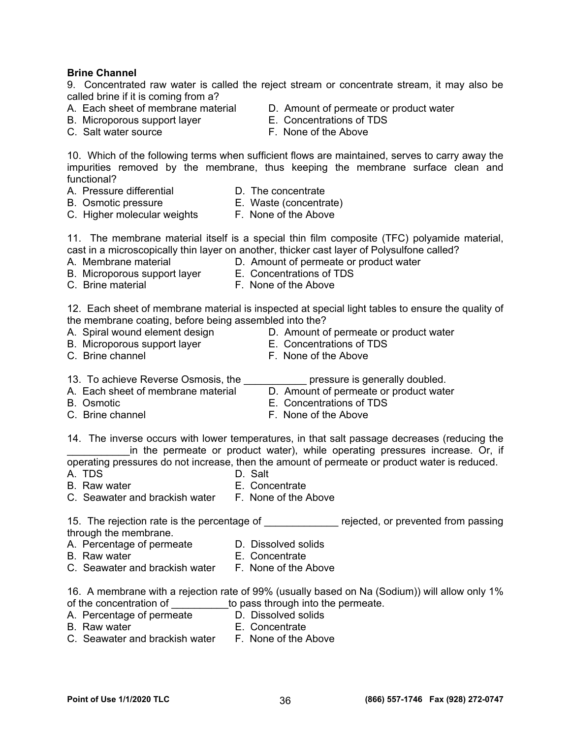#### **Brine Channel**

9. Concentrated raw water is called the reject stream or concentrate stream, it may also be called brine if it is coming from a?<br>A. Each sheet of membrane material

- 
- B. Microporous support layer E. Concentrations of TDS
- 
- D. Amount of permeate or product water
- 
- C. Salt water source F. None of the Above

10. Which of the following terms when sufficient flows are maintained, serves to carry away the impurities removed by the membrane, thus keeping the membrane surface clean and functional?

- A. Pressure differential **D.** The concentrate
- 
- B. Osmotic pressure E. Waste (concentrate)
- C. Higher molecular weights F. None of the Above
- 

11. The membrane material itself is a special thin film composite (TFC) polyamide material, cast in a microscopically thin layer on another, thicker cast layer of Polysulfone called?

- A. Membrane material **D.** Amount of permeate or product water
	-
- B. Microporous support layer E. Concentrations of TDS C. Brine material **F. None of the Above**

12. Each sheet of membrane material is inspected at special light tables to ensure the quality of the membrane coating, before being assembled into the?

- 
- B. Microporous support layer E. Concentrations of TDS
- 
- A. Spiral wound element design Theorem D. Amount of permeate or product water
	-
- C. Brine channel F. None of the Above
- 13. To achieve Reverse Osmosis, the **really pressure is generally doubled.** 
	-
- A. Each sheet of membrane material D. Amount of permeate or product water
- B. Osmotic E. Concentrations of TDS
- C. Brine channel **C.** Brine channel **F.** None of the Above
- 14. The inverse occurs with lower temperatures, in that salt passage decreases (reducing the

in the permeate or product water), while operating pressures increase. Or, if operating pressures do not increase, then the amount of permeate or product water is reduced.

- A. TDS D. Salt
- B. Raw water **E. Concentrate**
- C. Seawater and brackish water F. None of the Above

15. The rejection rate is the percentage of \_\_\_\_\_\_\_\_\_\_\_\_\_\_ rejected, or prevented from passing through the membrane.

- A. Percentage of permeate D. Dissolved solids
- B. Raw water **E.** Concentrate
- C. Seawater and brackish water F. None of the Above

16. A membrane with a rejection rate of 99% (usually based on Na (Sodium)) will allow only 1% of the concentration of \_\_\_\_\_\_\_\_\_\_to pass through into the permeate.<br>A. Percentage of permeate D. Dissolved solids

- A. Percentage of permeate
- B. Raw water **E.** Concentrate
- C. Seawater and brackish water F. None of the Above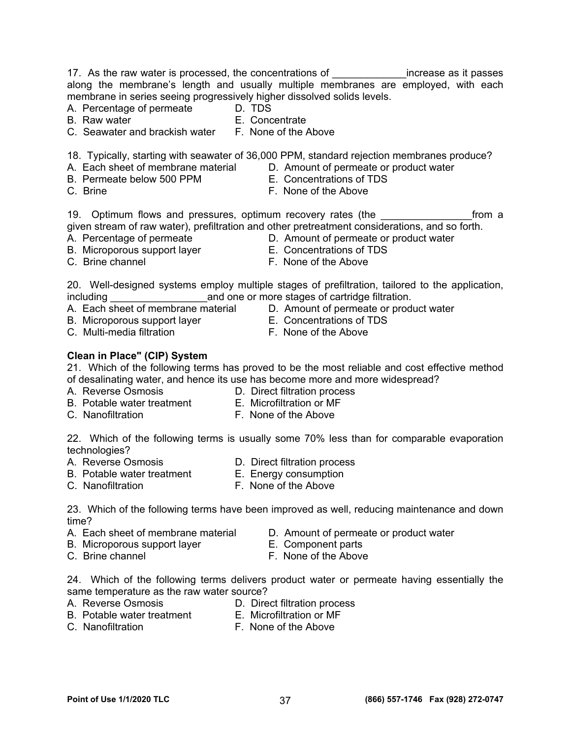17. As the raw water is processed, the concentrations of \_\_\_\_\_\_\_\_\_\_\_\_\_\_increase as it passes along the membrane's length and usually multiple membranes are employed, with each membrane in series seeing progressively higher dissolved solids levels.<br>A. Percentage of permeate <br>D. TDS

- A. Percentage of permeate
- 
- B. Raw water **E. Concentrate**
- C. Seawater and brackish water F. None of the Above

18. Typically, starting with seawater of 36,000 PPM, standard rejection membranes produce?

- A. Each sheet of membrane material D. Amount of permeate or product water
- B. Permeate below 500 PPM E. Concentrations of TDS
- C. Brine F. None of the Above
	-
- 19. Optimum flows and pressures, optimum recovery rates (the The Last Trom a given stream of raw water), prefiltration and other pretreatment considerations, and so forth.
- 
- B. Microporous support layer E. Concentrations of TDS
- 
- A. Percentage of permeate **D.** Amount of permeate or product water
	-
- 

20. Well-designed systems employ multiple stages of prefiltration, tailored to the application, including and one or more stages of cartridge filtration. A. Each sheet of membrane material D. Amount of permeate or product water<br>A. Each sheet of membrane material D. Amount of permeate or product water

- 
- B. Microporous support layer E. Concentrations of TDS
- C. Multi-media filtration **F. None of the Above**
- -

### **Clean in Place" (CIP) System**

21. Which of the following terms has proved to be the most reliable and cost effective method of desalinating water, and hence its use has become more and more widespread?

A. Reverse Osmosis D. Direct filtration process

- B. Potable water treatment E. Microfiltration or MF
	-
- C. Nanofiltration **F. None of the Above**

22. Which of the following terms is usually some 70% less than for comparable evaporation technologies?<br>A. Reverse Osmosis

- 
- B. Potable water treatment E. Energy consumption
- 
- 

D. Direct filtration process

C. Nanofiltration **F. None of the Above** 

23. Which of the following terms have been improved as well, reducing maintenance and down time?

- A. Each sheet of membrane material D. Amount of permeate or product water
- B. Microporous support layer **E. Component parts**
- C. Brine channel **C.** Brine channel **F.** None of the Above
- 

24. Which of the following terms delivers product water or permeate having essentially the same temperature as the raw water source?

- 
- A. Reverse Osmosis D. Direct filtration process
- B. Potable water treatment E. Microfiltration or MF
- 
- 
- C. Nanofiltration **F. None of the Above**

C. Brine channel **C.** Brine channel **F.** None of the Above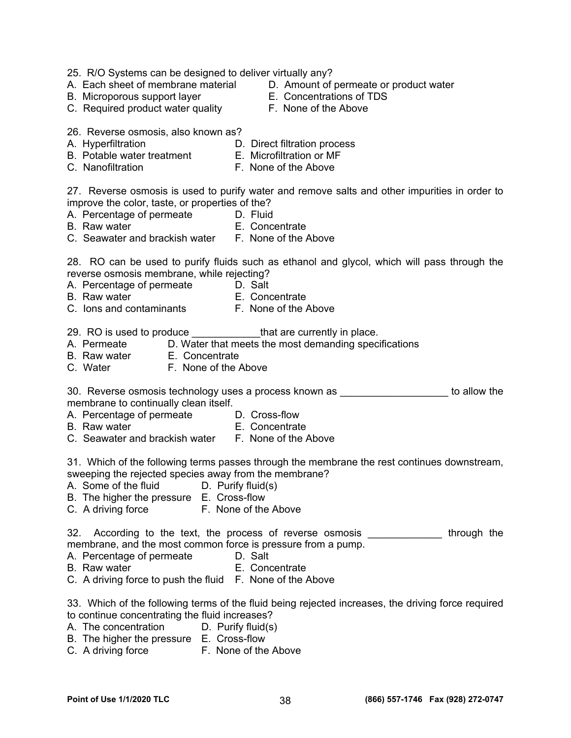- 25. R/O Systems can be designed to deliver virtually any?
- 
- B. Microporous support layer **E. Concentrations of TDS**<br>C. Required product water quality **E. None of the Above**
- C. Required product water quality
- A. Each sheet of membrane material D. Amount of permeate or product water
	-
	-
- 26. Reverse osmosis, also known as?
- A. Hyperfiltration D. Direct filtration process
- B. Potable water treatment E. Microfiltration or MF
- 
- 
- 
- C. Nanofiltration **F. None of the Above**

27. Reverse osmosis is used to purify water and remove salts and other impurities in order to improve the color, taste, or properties of the?

- A. Percentage of permeate **D. Fluid**
- B. Raw water **E. Concentrate**
- C. Seawater and brackish water F. None of the Above

28. RO can be used to purify fluids such as ethanol and glycol, which will pass through the reverse osmosis membrane, while rejecting?

- A. Percentage of permeate D. Salt
- B. Raw water **E. Concentrate**
- C. Ions and contaminants F. None of the Above

29. RO is used to produce \_\_\_\_\_\_\_\_\_\_\_\_\_\_that are currently in place.

- A. Permeate B. Water that meets the most demanding specifications<br>B. Raw water B. Concentrate
- E. Concentrate
- C. Water **F. None of the Above**

30. Reverse osmosis technology uses a process known as \_\_\_\_\_\_\_\_\_\_\_\_\_\_\_\_\_\_\_ to allow the membrane to continually clean itself.

- A. Percentage of permeate D. Cross-flow
- B. Raw water **E.** Concentrate
- C. Seawater and brackish water F. None of the Above

31. Which of the following terms passes through the membrane the rest continues downstream, sweeping the rejected species away from the membrane?

- A. Some of the fluid D. Purify fluid(s)
- B. The higher the pressure E. Cross-flow
- C. A driving force F. None of the Above

32. According to the text, the process of reverse osmosis Through the membrane, and the most common force is pressure from a pump.

- A. Percentage of permeate D. Salt
- B. Raw water **E. Concentrate**
- C. A driving force to push the fluid F. None of the Above

33. Which of the following terms of the fluid being rejected increases, the driving force required to continue concentrating the fluid increases?

- A. The concentration D. Purify fluid(s)
- B. The higher the pressure E. Cross-flow
- C. A driving force **F. None of the Above**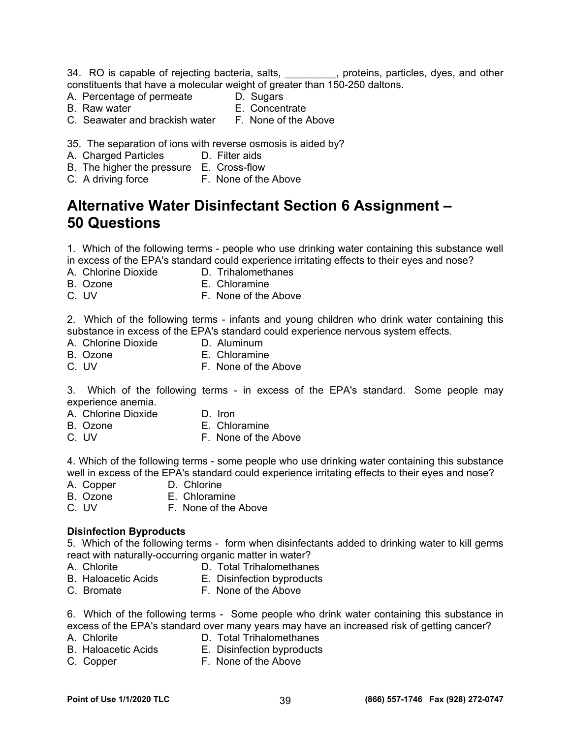34. RO is capable of rejecting bacteria, salts, \_\_\_\_\_\_\_\_, proteins, particles, dyes, and other constituents that have a molecular weight of greater than 150-250 daltons.

- A. Percentage of permeate D. Sugars
- 
- 
- B. Raw water **E. Concentrate**<br>C. Seawater and brackish water **E. None of the Above** C. Seawater and brackish water

35. The separation of ions with reverse osmosis is aided by?

- A. Charged Particles **D. Filter aids**
- B. The higher the pressure E. Cross-flow
- C. A driving force F. None of the Above

## **Alternative Water Disinfectant Section 6 Assignment – 50 Questions**

1. Which of the following terms - people who use drinking water containing this substance well in excess of the EPA's standard could experience irritating effects to their eyes and nose?

- A. Chlorine Dioxide D. Trihalomethanes
- B. Ozone E. Chloramine
- C. UV F. None of the Above

2. Which of the following terms - infants and young children who drink water containing this substance in excess of the EPA's standard could experience nervous system effects.<br>A. Chlorine Dioxide **D. Aluminum** 

- A. Chlorine Dioxide
- B. Ozone E. Chloramine
- C. UV **F. None of the Above**

3. Which of the following terms - in excess of the EPA's standard. Some people may experience anemia.

- A. Chlorine Dioxide D. Iron
- B. Ozone E. Chloramine
- C. UV F. None of the Above

4. Which of the following terms - some people who use drinking water containing this substance well in excess of the EPA's standard could experience irritating effects to their eyes and nose?

- A. Copper D. Chlorine
- B. Ozone E. Chloramine
- C. UV F. None of the Above

### **Disinfection Byproducts**

5. Which of the following terms - form when disinfectants added to drinking water to kill germs react with naturally-occurring organic matter in water?

- 
- A. Chlorite D. Total Trihalomethanes
- B. Haloacetic Acids E. Disinfection byproducts
- C. Bromate F. None of the Above

6. Which of the following terms - Some people who drink water containing this substance in excess of the EPA's standard over many years may have an increased risk of getting cancer?

- 
- A. Chlorite D. Total Trihalomethanes
- B. Haloacetic Acids E. Disinfection byproducts
- C. Copper F. None of the Above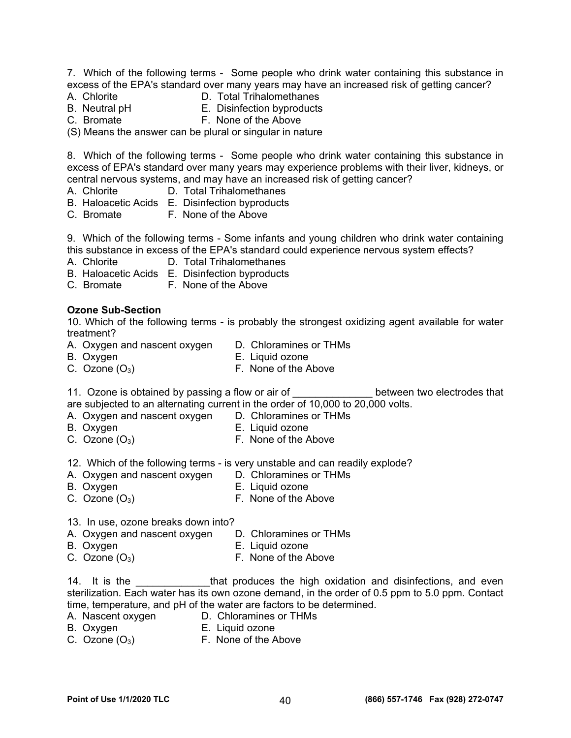7. Which of the following terms - Some people who drink water containing this substance in excess of the EPA's standard over many years may have an increased risk of getting cancer?

- 
- A. Chlorite **D. Total Trihalomethanes**
- B. Neutral pH E. Disinfection byproducts
- C. Bromate F. None of the Above

(S) Means the answer can be plural or singular in nature

8. Which of the following terms - Some people who drink water containing this substance in excess of EPA's standard over many years may experience problems with their liver, kidneys, or central nervous systems, and may have an increased risk of getting cancer?

- A. Chlorite D. Total Trihalomethanes
- B. Haloacetic Acids E. Disinfection byproducts
- C. Bromate F. None of the Above

9. Which of the following terms - Some infants and young children who drink water containing this substance in excess of the EPA's standard could experience nervous system effects?

- A. Chlorite D. Total Trihalomethanes
- B. Haloacetic Acids E. Disinfection byproducts
- C. Bromate F. None of the Above

#### **Ozone Sub-Section**

10. Which of the following terms - is probably the strongest oxidizing agent available for water treatment?

- A. Oxygen and nascent oxygen D. Chloramines or THMs
- B. Oxygen E. Liquid ozone
- 
- C. Ozone  $(O_3)$  F. None of the Above

11. Ozone is obtained by passing a flow or air of Theorem is between two electrodes that are subjected to an alternating current in the order of 10,000 to 20,000 volts.

- A. Oxygen and nascent oxygen D. Chloramines or THMs
- B. Oxygen E. Liquid ozone
- C. Ozone  $(O_3)$  F. None of the Above
- 12. Which of the following terms is very unstable and can readily explode?
- A. Oxygen and nascent oxygen D. Chloramines or THMs
- B. Oxygen **E. Liquid ozone**
- C. Ozone  $(O_3)$  F. None of the Above
- 13. In use, ozone breaks down into?
- A. Oxygen and nascent oxygen D. Chloramines or THMs
- 
- B. Oxygen **E. Liquid ozone**
- C. Ozone  $(O_3)$  F. None of the Above

14. It is the \_\_\_\_\_\_\_\_\_\_\_\_\_that produces the high oxidation and disinfections, and even sterilization. Each water has its own ozone demand, in the order of 0.5 ppm to 5.0 ppm. Contact time, temperature, and pH of the water are factors to be determined.

- A. Nascent oxygen D. Chloramines or THMs
- 
- B. Oxygen E. Liquid ozone
- C. Ozone  $(O_3)$  F. None of the Above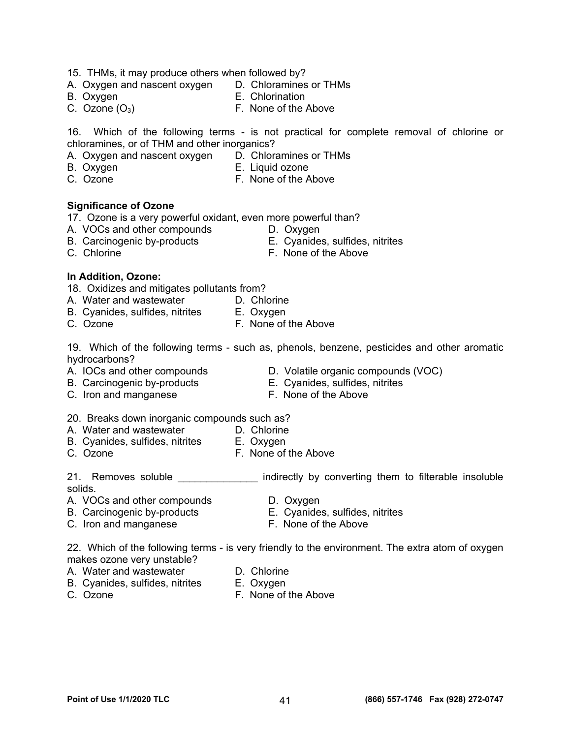- 15. THMs, it may produce others when followed by?
- A. Oxygen and nascent oxygen D. Chloramines or THMs
- 
- 
- B. Oxygen  $E.$  Chlorination<br>
C. Ozone (O<sub>3</sub>)  $E.$  None of the *i* F. None of the Above

16. Which of the following terms - is not practical for complete removal of chlorine or chloramines, or of THM and other inorganics?

- A. Oxygen and nascent oxygen D. Chloramines or THMs
- B. Oxygen **E. Liquid ozone**
- 
- C. Ozone F. None of the Above

### **Significance of Ozone**

17. Ozone is a very powerful oxidant, even more powerful than?

- A. VOCs and other compounds **D. Oxygen**
- B. Carcinogenic by-products E. Cyanides, sulfides, nitrites
- C. Chlorine **C.** Chlorine **F.** None of the Above

### **In Addition, Ozone:**

- 18. Oxidizes and mitigates pollutants from?
- A. Water and wastewater **D. Chlorine**
- B. Cyanides, sulfides, nitrites E. Oxygen
- C. Ozone F. None of the Above

19. Which of the following terms - such as, phenols, benzene, pesticides and other aromatic hydrocarbons?

- 
- 
- C. Iron and manganese **F. None of the Above**
- A. IOCs and other compounds **D.** Volatile organic compounds (VOC)
	-
	-
- 20. Breaks down inorganic compounds such as?
- A. Water and wastewater **D. Chlorine**
- B. Cyanides, sulfides, nitrites E. Oxygen
- C. Ozone F. None of the Above

21. Removes soluble \_\_\_\_\_\_\_\_\_\_\_\_\_\_\_\_ indirectly by converting them to filterable insoluble solids.

- A. VOCs and other compounds **D. Oxygen**
- B. Carcinogenic by-products E. Cyanides, sulfides, nitrites
- C. Iron and manganese **F. None of the Above**

22. Which of the following terms - is very friendly to the environment. The extra atom of oxygen makes ozone very unstable?

- A. Water and wastewater **D. Chlorine** 
	-
- B. Cyanides, sulfides, nitrites E. Oxygen
	-
- 
- C. Ozone F. None of the Above

- 
- B. Carcinogenic by-products E. Cyanides, sulfides, nitrites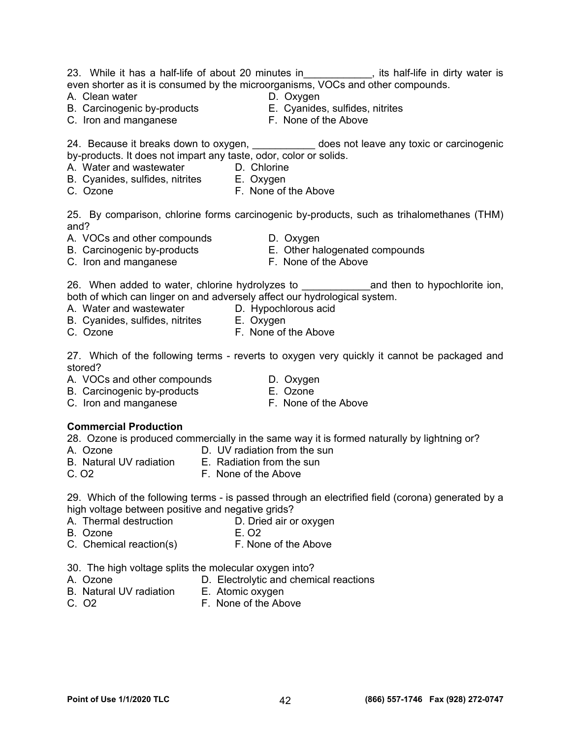#### 23. While it has a half-life of about 20 minutes in Tall Life in dirty water is even shorter as it is consumed by the microorganisms, VOCs and other compounds.

- A. Clean water **D.** Oxygen
- 
- C. Iron and manganese **F. None of the Above**
- 
- B. Carcinogenic by-products E. Cyanides, sulfides, nitrites
	-

24. Because it breaks down to oxygen, 2000 modified and leave any toxic or carcinogenic by-products. It does not impart any taste, odor, color or solids.

- A. Water and wastewater **D. Chlorine**
- B. Cyanides, sulfides, nitrites E. Oxygen
- C. Ozone F. None of the Above

25. By comparison, chlorine forms carcinogenic by-products, such as trihalomethanes (THM) and?

- A. VOCs and other compounds D. Oxygen
- B. Carcinogenic by-products E. Other halogenated compounds
- C. Iron and manganese **F. None of the Above**
- 
- 

26. When added to water, chlorine hydrolyzes to **with the and then to hypochlorite ion**, both of which can linger on and adversely affect our hydrological system.

- A. Water and wastewater **D. Hypochlorous acid**
- B. Cyanides, sulfides, nitrites E. Oxygen
- C. Ozone F. None of the Above

27. Which of the following terms - reverts to oxygen very quickly it cannot be packaged and stored?

- A. VOCs and other compounds **D. Oxygen**
- B. Carcinogenic by-products E. Ozone
- C. Iron and manganese **F. None of the Above** 
	-

### **Commercial Production**

28. Ozone is produced commercially in the same way it is formed naturally by lightning or?

- 
- A. Ozone D. UV radiation from the sun
- B. Natural UV radiation E. Radiation from the sun
- C. O2 F. None of the Above

29. Which of the following terms - is passed through an electrified field (corona) generated by a high voltage between positive and negative grids?

- A. Thermal destruction D. Dried air or oxygen
- B. Ozone E. O2
- C. Chemical reaction(s) F. None of the Above
- 30. The high voltage splits the molecular oxygen into?
- A. Ozone D. Electrolytic and chemical reactions
- B. Natural UV radiation E. Atomic oxygen
- C. O2 F. None of the Above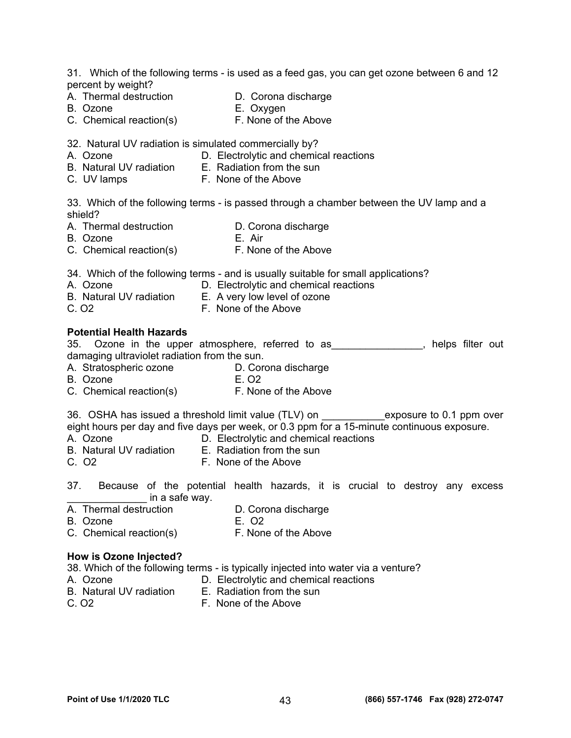31. Which of the following terms - is used as a feed gas, you can get ozone between 6 and 12 percent by weight?

- A. Thermal destruction **D. Corona discharge** 
	-
- B. Ozone **E. Oxygen**<br>C. Chemical reaction(s) **E. None of the Above** C. Chemical reaction(s)
- 32. Natural UV radiation is simulated commercially by?
- A. Ozone D. Electrolytic and chemical reactions
- B. Natural UV radiation E. Radiation from the sun
- C. UV lamps F. None of the Above

33. Which of the following terms - is passed through a chamber between the UV lamp and a shield?

- A. Thermal destruction D. Corona discharge
- B. Ozone E. Air
- C. Chemical reaction(s) F. None of the Above

34. Which of the following terms - and is usually suitable for small applications?

- A. Ozone D. Electrolytic and chemical reactions
- B. Natural UV radiation E. A very low level of ozone
- C. O2 F. None of the Above

#### **Potential Health Hazards**

35. Ozone in the upper atmosphere, referred to as\_\_\_\_\_\_\_\_\_\_\_\_\_\_\_\_, helps filter out damaging ultraviolet radiation from the sun.

- A. Stratospheric ozone D. Corona discharge
- B. Ozone E. O2
- C. Chemical reaction(s) F. None of the Above

36. OSHA has issued a threshold limit value (TLV) on \_\_\_\_\_\_\_\_\_\_\_\_\_exposure to 0.1 ppm over eight hours per day and five days per week, or 0.3 ppm for a 15-minute continuous exposure.

- A. Ozone D. Electrolytic and chemical reactions
- B. Natural UV radiation E. Radiation from the sun
- C. O2 F. None of the Above
- 37. Because of the potential health hazards, it is crucial to destroy any excess  $\mathsf{in}$  a safe way.
- A. Thermal destruction **D. Corona discharge**
- B. Ozone E. O2
	-
- C. Chemical reaction(s) F. None of the Above

#### **How is Ozone Injected?**

38. Which of the following terms - is typically injected into water via a venture?

- A. Ozone D. Electrolytic and chemical reactions
- B. Natural UV radiation E. Radiation from the sun
	-
- C. O2 F. None of the Above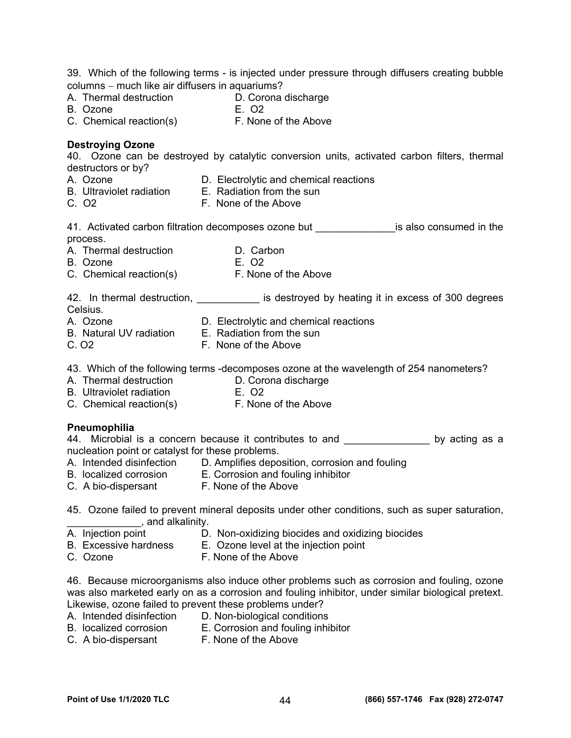39. Which of the following terms - is injected under pressure through diffusers creating bubble  $column - much$  like air diffusers in aquariums?

- A. Thermal destruction **D. Corona discharge**<br>B. Ozone **B. Corona**
- B. Ozone
- C. Chemical reaction(s) F. None of the Above

#### **Destroying Ozone**

40. Ozone can be destroyed by catalytic conversion units, activated carbon filters, thermal destructors or by?

- A. Ozone D. Electrolytic and chemical reactions
- B. Ultraviolet radiation E. Radiation from the sun
- C. O2 F. None of the Above

41. Activated carbon filtration decomposes ozone but **the interpretent is also consumed in the** process.

- A. Thermal destruction **D. Carbon**
- B. Ozone E. O2
- C. Chemical reaction(s) F. None of the Above

42. In thermal destruction, \_\_\_\_\_\_\_\_\_\_\_\_ is destroyed by heating it in excess of 300 degrees Celsius.<br>A. Ozone

- D. Electrolytic and chemical reactions
- B. Natural UV radiation E. Radiation from the sun
- C. O2 F. None of the Above
- 43. Which of the following terms -decomposes ozone at the wavelength of 254 nanometers?
- A. Thermal destruction D. Corona discharge
- B. Ultraviolet radiation E. O2
- C. Chemical reaction(s) F. None of the Above

### **Pneumophilia**

44. Microbial is a concern because it contributes to and \_\_\_\_\_\_\_\_\_\_\_\_\_\_\_ by acting as a nucleation point or catalyst for these problems.

- A. Intended disinfection D. Amplifies deposition, corrosion and fouling
- B. localized corrosion E. Corrosion and fouling inhibitor
- C. A bio-dispersant F. None of the Above
- 45. Ozone failed to prevent mineral deposits under other conditions, such as super saturation, \_\_\_\_\_\_\_\_\_\_\_\_\_, and alkalinity.
- A. Injection point D. Non-oxidizing biocides and oxidizing biocides
- B. Excessive hardness E. Ozone level at the injection point
	-
- C. Ozone **F. None of the Above**

46. Because microorganisms also induce other problems such as corrosion and fouling, ozone was also marketed early on as a corrosion and fouling inhibitor, under similar biological pretext. Likewise, ozone failed to prevent these problems under?

- A. Intended disinfection D. Non-biological conditions
- B. localized corrosion E. Corrosion and fouling inhibitor
- 
- C. A bio-dispersant F. None of the Above
-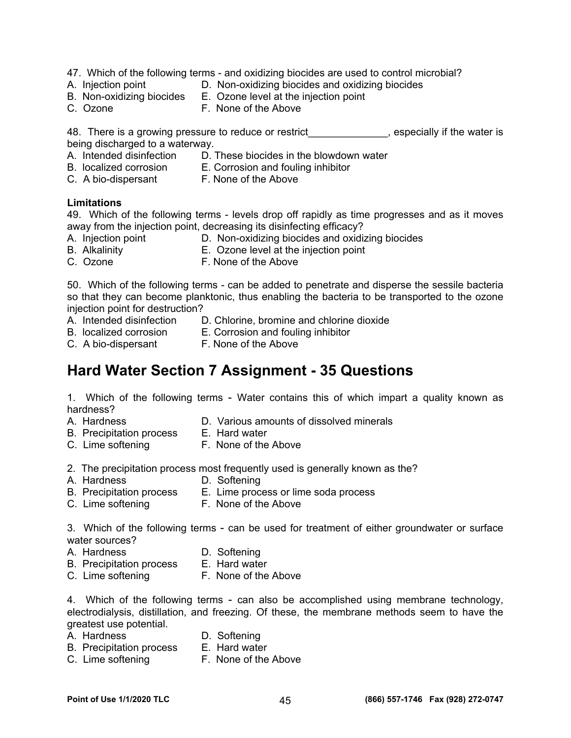- 47. Which of the following terms and oxidizing biocides are used to control microbial?
- 
- A. Injection point D. Non-oxidizing biocides and oxidizing biocides
- B. Non-oxidizing biocides E. Ozone level at the injection point
- C. Ozone F. None of the Above

48. There is a growing pressure to reduce or restrict entity and suppose ally if the water is being discharged to a waterway.

- A. Intended disinfection D. These biocides in the blowdown water
- B. localized corrosion E. Corrosion and fouling inhibitor
- C. A bio-dispersant F. None of the Above

#### **Limitations**

49. Which of the following terms - levels drop off rapidly as time progresses and as it moves away from the injection point, decreasing its disinfecting efficacy?

- 
- A. Injection point D. Non-oxidizing biocides and oxidizing biocides
- B. Alkalinity E. Ozone level at the injection point
- C. Ozone **F. None of the Above**

50. Which of the following terms - can be added to penetrate and disperse the sessile bacteria so that they can become planktonic, thus enabling the bacteria to be transported to the ozone injection point for destruction?

- A. Intended disinfection D. Chlorine, bromine and chlorine dioxide
- 
- B. localized corrosion E. Corrosion and fouling inhibitor
- C. A bio-dispersant F. None of the Above

## **Hard Water Section 7 Assignment - 35 Questions**

1. Which of the following terms - Water contains this of which impart a quality known as hardness?

- 
- A. Hardness D. Various amounts of dissolved minerals
- B. Precipitation process E. Hard water
- C. Lime softening F. None of the Above

2. The precipitation process most frequently used is generally known as the?<br>A. Hardness **D. Softening** 

- D. Softening
- B. Precipitation process E. Lime process or lime soda process
- C. Lime softening F. None of the Above

3. Which of the following terms - can be used for treatment of either groundwater or surface water sources?

- A. Hardness D. Softening
- B. Precipitation process E. Hard water
- C. Lime softening F. None of the Above

4. Which of the following terms - can also be accomplished using membrane technology, electrodialysis, distillation, and freezing. Of these, the membrane methods seem to have the greatest use potential.

- A. Hardness D. Softening
	-
- B. Precipitation process E. Hard water<br>C. Lime softening F. None of the Above
- C. Lime softening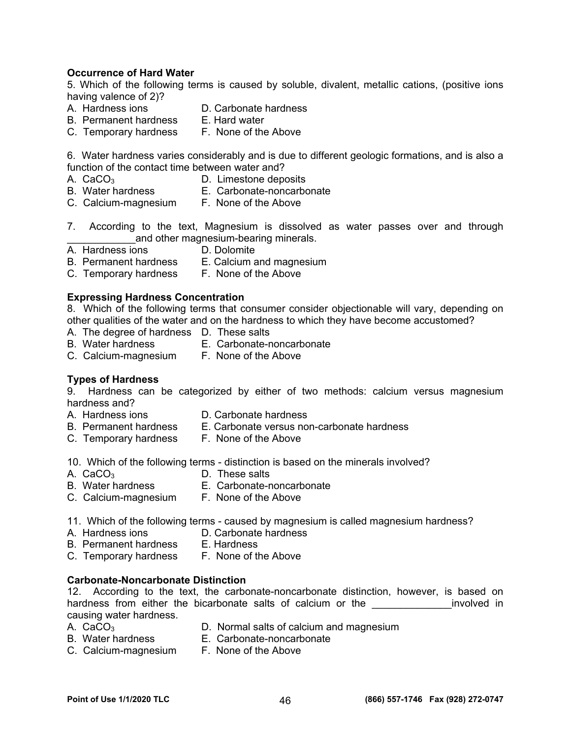### **Occurrence of Hard Water**

5. Which of the following terms is caused by soluble, divalent, metallic cations, (positive ions having valence of 2)?

- 
- D. Carbonate hardness
- B. Permanent hardness E. Hard water
- C. Temporary hardness F. None of the Above

6. Water hardness varies considerably and is due to different geologic formations, and is also a function of the contact time between water and?

- A. CaCO<sub>3</sub> D. Limestone deposits
- B. Water hardness **E. Carbonate-noncarbonate**
- C. Calcium-magnesium F. None of the Above
- 7. According to the text, Magnesium is dissolved as water passes over and through and other magnesium-bearing minerals.
- A. Hardness ions D. Dolomite
- B. Permanent hardness E. Calcium and magnesium
- C. Temporary hardness F. None of the Above

#### **Expressing Hardness Concentration**

8. Which of the following terms that consumer consider objectionable will vary, depending on other qualities of the water and on the hardness to which they have become accustomed?

- A. The degree of hardness D. These salts
- B. Water hardness E. Carbonate-noncarbonate
- C. Calcium-magnesium F. None of the Above

#### **Types of Hardness**

9. Hardness can be categorized by either of two methods: calcium versus magnesium hardness and?

- 
- 
- A. Hardness ions D. Carbonate hardness<br>B. Permanent hardness E. Carbonate versus no E. Carbonate versus non-carbonate hardness
- C. Temporary hardness F. None of the Above

10. Which of the following terms - distinction is based on the minerals involved?

- A.  $CaCO<sub>3</sub>$  D. These salts
- B. Water hardness E. Carbonate-noncarbonate
- C. Calcium-magnesium F. None of the Above
- 11. Which of the following terms caused by magnesium is called magnesium hardness?
- 
- A. Hardness ions **D. Carbonate hardness**
- B. Permanent hardness E. Hardness
- C. Temporary hardness F. None of the Above

#### **Carbonate-Noncarbonate Distinction**

12. According to the text, the carbonate-noncarbonate distinction, however, is based on hardness from either the bicarbonate salts of calcium or the **with the calculate in** involved in causing water hardness.

- A. CaCO3 D. Normal salts of calcium and magnesium
- B. Water hardness E. Carbonate-noncarbonate
- 
- C. Calcium-magnesium F. None of the Above
-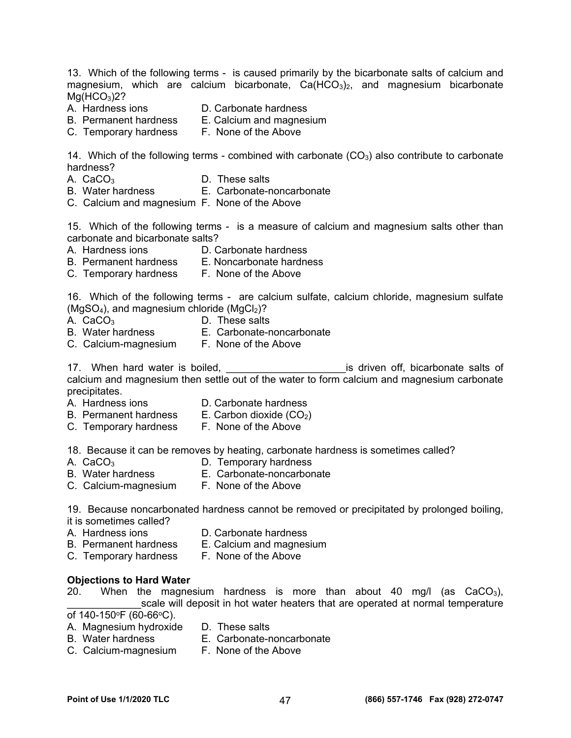13. Which of the following terms - is caused primarily by the bicarbonate salts of calcium and magnesium, which are calcium bicarbonate,  $Ca(HCO<sub>3</sub>)<sub>2</sub>$ , and magnesium bicarbonate  $Mg(HCO<sub>3</sub>)2?$ <br>A. Hardness ions A. Hardness ions **D. Carbonate hardness**<br>B. Permanent hardness **E. Calcium and magnes** E. Calcium and magnesium C. Temporary hardness F. None of the Above 14. Which of the following terms - combined with carbonate  $(CO<sub>3</sub>)$  also contribute to carbonate hardness? A.  $CaCO<sub>3</sub>$  D. These salts B. Water hardness E. Carbonate-noncarbonate C. Calcium and magnesium F. None of the Above 15. Which of the following terms - is a measure of calcium and magnesium salts other than carbonate and bicarbonate salts? A. Hardness ions **D. Carbonate hardness** B. Permanent hardness E. Noncarbonate hardness C. Temporary hardness F. None of the Above 16. Which of the following terms - are calcium sulfate, calcium chloride, magnesium sulfate  $(MgSO<sub>4</sub>)$ , and magnesium chloride  $(MgCl<sub>2</sub>)$ ? A.  $CaCO<sub>3</sub>$  D. These salts B. Water hardness E. Carbonate-noncarbonate C. Calcium-magnesium F. None of the Above 17. When hard water is boiled, the same of the same is driven off, bicarbonate salts of calcium and magnesium then settle out of the water to form calcium and magnesium carbonate precipitates. A. Hardness ions D. Carbonate hardness B. Permanent hardness  $E.$  Carbon dioxide  $(CO<sub>2</sub>)$ C. Temporary hardness F. None of the Above 18. Because it can be removes by heating, carbonate hardness is sometimes called? A.  $CaCO<sub>3</sub>$  D. Temporary hardness B. Water hardness E. Carbonate-noncarbonate C. Calcium-magnesium F. None of the Above 19. Because noncarbonated hardness cannot be removed or precipitated by prolonged boiling, it is sometimes called? A. Hardness ions **D. Carbonate hardness** B. Permanent hardness E. Calcium and magnesium C. Temporary hardness F. None of the Above **Objections to Hard Water**  20. When the magnesium hardness is more than about 40 mg/l (as  $CaCO<sub>3</sub>$ ), \_scale will deposit in hot water heaters that are operated at normal temperature of  $140-150$ <sup>o</sup>F (60-66<sup>o</sup>C). A. Magnesium hydroxide D. These salts

- 
- B. Water hardness E. Carbonate-noncarbonate
- C. Calcium-magnesium F. None of the Above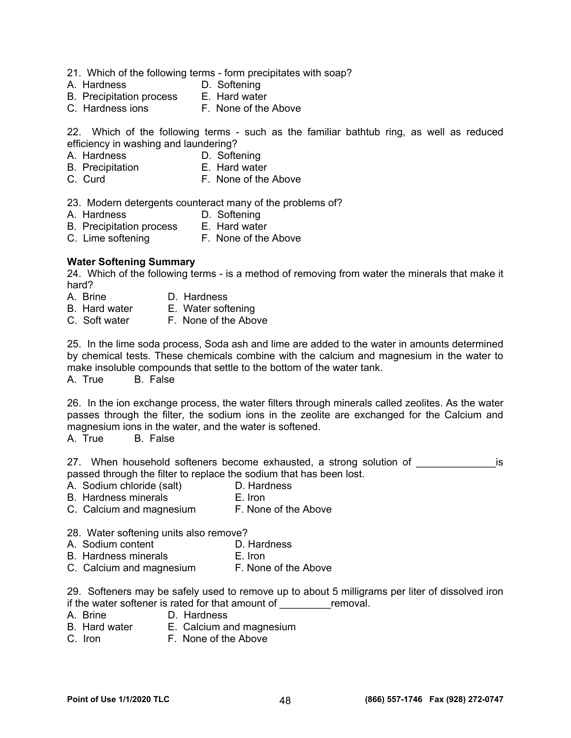- 21. Which of the following terms form precipitates with soap?
- A. Hardness D. Softening
- 
- B. Precipitation process E. Hard water<br>C. Hardness jons F. None of the Above C. Hardness ions

22. Which of the following terms - such as the familiar bathtub ring, as well as reduced efficiency in washing and laundering?

- A. Hardness D. Softening
- B. Precipitation E. Hard water
- C. Curd **F. None of the Above**

23. Modern detergents counteract many of the problems of?

- A. Hardness D. Softening
- B. Precipitation process E. Hard water
- C. Lime softening F. None of the Above

#### **Water Softening Summary**

24. Which of the following terms - is a method of removing from water the minerals that make it hard?

- A. Brine D. Hardness
- B. Hard water E. Water softening
- C. Soft water F. None of the Above

25. In the lime soda process, Soda ash and lime are added to the water in amounts determined by chemical tests. These chemicals combine with the calcium and magnesium in the water to make insoluble compounds that settle to the bottom of the water tank. A. True B. False

26. In the ion exchange process, the water filters through minerals called zeolites. As the water passes through the filter, the sodium ions in the zeolite are exchanged for the Calcium and magnesium ions in the water, and the water is softened.

A. True B. False

27. When household softeners become exhausted, a strong solution of \_\_\_\_\_\_\_\_\_\_\_\_\_\_\_\_\_is passed through the filter to replace the sodium that has been lost.

- A. Sodium chloride (salt) D. Hardness
- B. Hardness minerals **E.** Iron
- C. Calcium and magnesium F. None of the Above

28. Water softening units also remove?

- A. Sodium content **D. Hardness**<br>B. Hardness minerals **D. Hardness**
- B. Hardness minerals
- C. Calcium and magnesium F. None of the Above

29. Softeners may be safely used to remove up to about 5 milligrams per liter of dissolved iron if the water softener is rated for that amount of  $\frac{\qquad \qquad \text{removal.}}{A \quad \text{Brine}}$ 

- D. Hardness
- B. Hard water E. Calcium and magnesium
- C. Iron **F. None of the Above**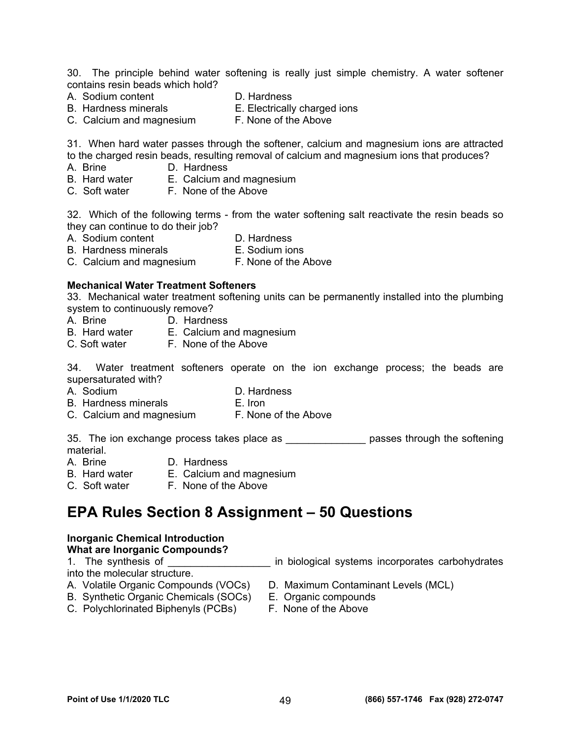30. The principle behind water softening is really just simple chemistry. A water softener contains resin beads which hold?

- A. Sodium content D. Hardness
	-
- B. Hardness minerals **E. Electrically charged ions**
- C. Calcium and magnesium F. None of the Above
- 

31. When hard water passes through the softener, calcium and magnesium ions are attracted to the charged resin beads, resulting removal of calcium and magnesium ions that produces?

- A. Brine D. Hardness
- B. Hard water E. Calcium and magnesium<br>C. Soft water F. None of the Above
- C. Soft water

32. Which of the following terms - from the water softening salt reactivate the resin beads so they can continue to do their job?

- A. Sodium content D. Hardness
- 
- B. Hardness minerals E. Sodium ions<br>C. Calcium and magnesium F. None of the Above C. Calcium and magnesium

### **Mechanical Water Treatment Softeners**

33. Mechanical water treatment softening units can be permanently installed into the plumbing system to continuously remove?

- A. Brine D. Hardness
- B. Hard water E. Calcium and magnesium
- C. Soft water F. None of the Above

34. Water treatment softeners operate on the ion exchange process; the beads are supersaturated with?

- 
- A. Sodium D. Hardness
- B. Hardness minerals E. Iron
- C. Calcium and magnesium F. None of the Above

35. The ion exchange process takes place as \_\_\_\_\_\_\_\_\_\_\_\_\_\_\_\_\_ passes through the softening material.<br>A. Brine

- 
- D. Hardness
- B. Hard water E. Calcium and magnesium B. Hard water E. Calcium and magn<br>C. Soft water F. None of the Above
- 

## **EPA Rules Section 8 Assignment – 50 Questions**

### **Inorganic Chemical Introduction**

**What are Inorganic Compounds?** 

into the molecular structure.

- 
- B. Synthetic Organic Chemicals (SOCs) E. Organic compounds
- C. Polychlorinated Biphenyls (PCBs) F. None of the Above
- 1. The synthesis of \_\_\_\_\_\_\_\_\_\_\_\_\_\_\_\_\_\_\_\_ in biological systems incorporates carbohydrates
- A. Volatile Organic Compounds (VOCs) D. Maximum Contaminant Levels (MCL)
	-
	-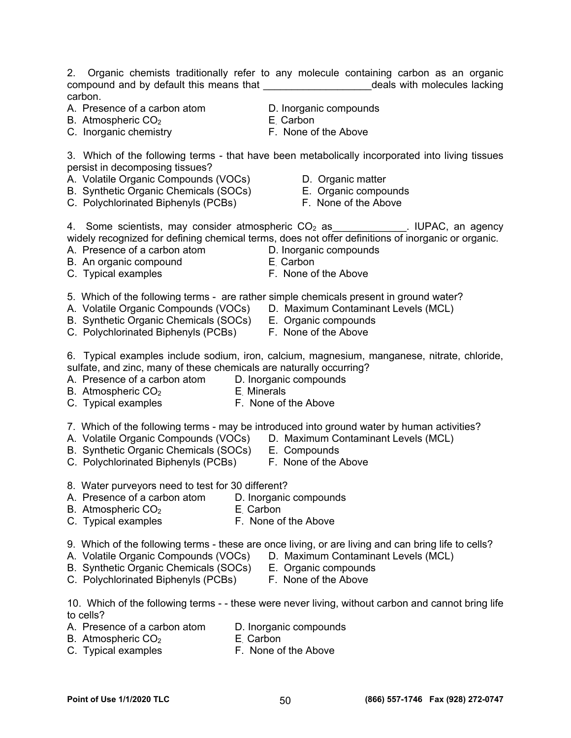2. Organic chemists traditionally refer to any molecule containing carbon as an organic compound and by default this means that \_\_\_\_\_\_\_\_\_\_\_\_\_\_\_\_\_\_\_\_\_\_\_\_\_\_\_\_deals with molecules lacking carbon.

- A. Presence of a carbon atom  $\overline{D}$ . Inorganic compounds<br>B. Atmospheric CO<sub>2</sub> E Carbon
- B. Atmospheric  $CO<sub>2</sub>$  E. Carbon
- C. Inorganic chemistry **E. None of the Above**
- 
- 
- 3. Which of the following terms that have been metabolically incorporated into living tissues persist in decomposing tissues?
- A. Volatile Organic Compounds (VOCs) D. Organic matter
- B. Synthetic Organic Chemicals (SOCs) E. Organic compounds
- C. Polychlorinated Biphenyls (PCBs) F. None of the Above
- 
- 
- 

4. Some scientists, may consider atmospheric  $CO<sub>2</sub>$  as \_\_\_\_\_\_\_\_\_\_\_\_. IUPAC, an agency widely recognized for defining chemical terms, does not offer definitions of inorganic or organic.

- A. Presence of a carbon atom **D. Inorganic compounds**
- B. An organic compound E. Carbon
- C. Typical examples **F. None of the Above**
- 
- -
- 5. Which of the following terms are rather simple chemicals present in ground water?
- A. Volatile Organic Compounds (VOCs) D. Maximum Contaminant Levels (MCL)
- B. Synthetic Organic Chemicals (SOCs) E. Organic compounds
- C. Polychlorinated Biphenyls (PCBs) F. None of the Above
- 6. Typical examples include sodium, iron, calcium, magnesium, manganese, nitrate, chloride, sulfate, and zinc, many of these chemicals are naturally occurring?

A. Presence of a carbon atom D. Inorganic compounds

- B. Atmospheric  $CO<sub>2</sub>$  E. Minerals
- C. Typical examples **F. None of the Above**
- 7. Which of the following terms may be introduced into ground water by human activities?
- A. Volatile Organic Compounds (VOCs) D. Maximum Contaminant Levels (MCL)
- B. Synthetic Organic Chemicals (SOCs) E. Compounds
- C. Polychlorinated Biphenyls (PCBs) F. None of the Above
- 8. Water purveyors need to test for 30 different?
- A. Presence of a carbon atom D. Inorganic compounds
- B. Atmospheric  $CO<sub>2</sub>$  E. Carbon
- C. Typical examples **F. None of the Above**
- 9. Which of the following terms these are once living, or are living and can bring life to cells?
- A. Volatile Organic Compounds (VOCs) D. Maximum Contaminant Levels (MCL)
- B. Synthetic Organic Chemicals (SOCs) E. Organic compounds
- C. Polychlorinated Biphenyls (PCBs) F. None of the Above
- 10. Which of the following terms - these were never living, without carbon and cannot bring life to cells?
- A. Presence of a carbon atom D. Inorganic compounds
- B. Atmospheric  $CO<sub>2</sub>$  E. Carbon
- C. Typical examples F. None of the Above
- 
- 
- 
-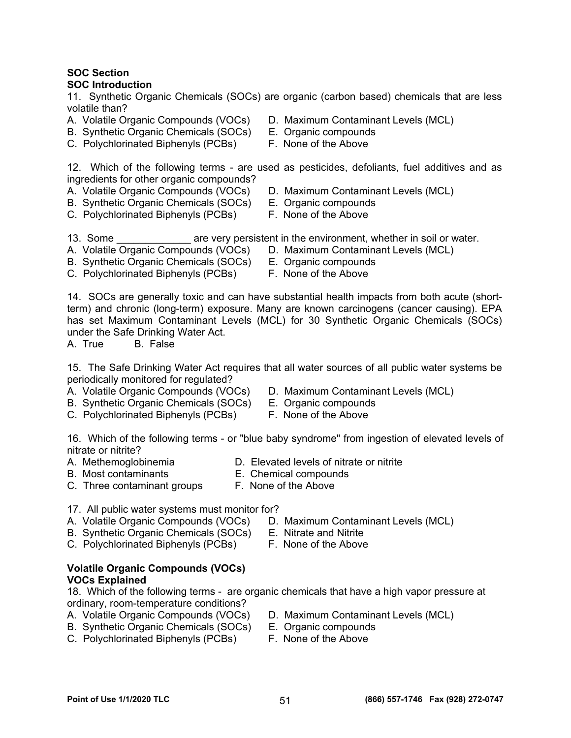#### **SOC Section SOC Introduction**

11. Synthetic Organic Chemicals (SOCs) are organic (carbon based) chemicals that are less volatile than?

- 
- B. Synthetic Organic Chemicals (SOCs) E. Organic compounds
- C. Polychlorinated Biphenyls (PCBs) F. None of the Above
- A. Volatile Organic Compounds (VOCs) D. Maximum Contaminant Levels (MCL)
	-
	-

12. Which of the following terms - are used as pesticides, defoliants, fuel additives and as ingredients for other organic compounds?

- A. Volatile Organic Compounds (VOCs) D. Maximum Contaminant Levels (MCL)
- B. Synthetic Organic Chemicals (SOCs) E. Organic compounds
- -
- C. Polychlorinated Biphenyls (PCBs) F. None of the Above

13. Some **Example 20** are very persistent in the environment, whether in soil or water.

- A. Volatile Organic Compounds (VOCs) D. Maximum Contaminant Levels (MCL)
- B. Synthetic Organic Chemicals (SOCs) E. Organic compounds
	-
- C. Polychlorinated Biphenyls (PCBs) F. None of the Above

14. SOCs are generally toxic and can have substantial health impacts from both acute (shortterm) and chronic (long-term) exposure. Many are known carcinogens (cancer causing). EPA has set Maximum Contaminant Levels (MCL) for 30 Synthetic Organic Chemicals (SOCs) under the Safe Drinking Water Act.

A. True B. False

15. The Safe Drinking Water Act requires that all water sources of all public water systems be periodically monitored for regulated?

- A. Volatile Organic Compounds (VOCs) D. Maximum Contaminant Levels (MCL)
- B. Synthetic Organic Chemicals (SOCs) E. Organic compounds
- C. Polychlorinated Biphenyls (PCBs) F. None of the Above
- 
- 
- 

16. Which of the following terms - or "blue baby syndrome" from ingestion of elevated levels of nitrate or nitrite?

- A. Methemoglobinemia **D.** Elevated levels of nitrate or nitrite
- B. Most contaminants E. Chemical compounds
- -
- C. Three contaminant groups F. None of the Above
- 
- 17. All public water systems must monitor for?
- 
- A. Volatile Organic Compounds (VOCs) D. Maximum Contaminant Levels (MCL)
- B. Synthetic Organic Chemicals (SOCs) E. Nitrate and Nitrite
- C. Polychlorinated Biphenyls (PCBs) F. None of the Above

### **Volatile Organic Compounds (VOCs) VOCs Explained**

18. Which of the following terms - are organic chemicals that have a high vapor pressure at ordinary, room-temperature conditions?

- 
- B. Synthetic Organic Chemicals (SOCs) E. Organic compounds
- C. Polychlorinated Biphenyls (PCBs) F. None of the Above
- A. Volatile Organic Compounds (VOCs) D. Maximum Contaminant Levels (MCL)
	-
	-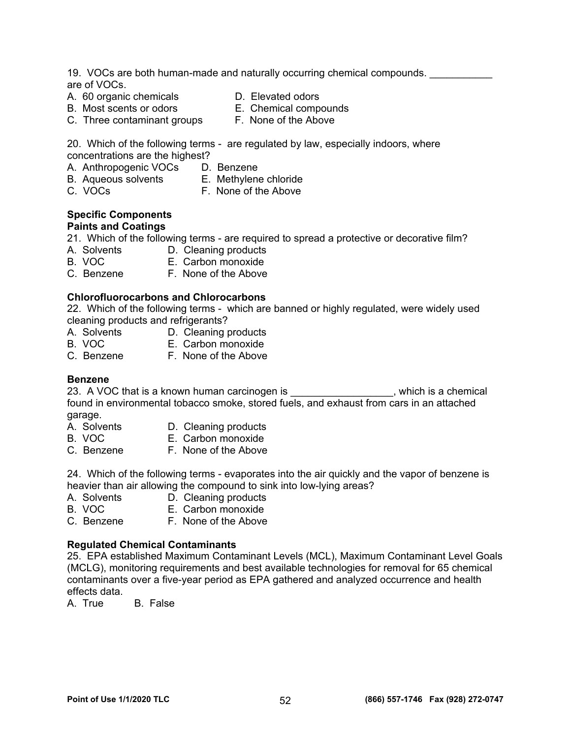19. VOCs are both human-made and naturally occurring chemical compounds. are of VOCs.

- A. 60 organic chemicals **D.** Elevated odors
	-
- B. Most scents or odors E. Chemical compounds
- 
- C. Three contaminant groups F. None of the Above

20. Which of the following terms - are regulated by law, especially indoors, where concentrations are the highest?

- A. Anthropogenic VOCs D. Benzene
- B. Aqueous solvents E. Methylene chloride
- C. VOCs F. None of the Above

#### **Specific Components Paints and Coatings**

21. Which of the following terms - are required to spread a protective or decorative film?

- A. Solvents D. Cleaning products
- B. VOC E. Carbon monoxide
- C. Benzene F. None of the Above

### **Chlorofluorocarbons and Chlorocarbons**

22. Which of the following terms - which are banned or highly regulated, were widely used cleaning products and refrigerants?

- A. Solvents D. Cleaning products
- B. VOC **E. Carbon monoxide**
- C. Benzene F. None of the Above

### **Benzene**

23. A VOC that is a known human carcinogen is \_\_\_\_\_\_\_\_\_\_\_\_\_\_\_\_\_\_, which is a chemical found in environmental tobacco smoke, stored fuels, and exhaust from cars in an attached garage.

- A. Solvents **D. Cleaning products**<br>B. VOC **E. Carbon monoxide**
- **E.** Carbon monoxide
- C. Benzene F. None of the Above

24. Which of the following terms - evaporates into the air quickly and the vapor of benzene is heavier than air allowing the compound to sink into low-lying areas?

- A. Solvents **D.** Cleaning products
- B. VOC E. Carbon monoxide
- C. Benzene F. None of the Above

### **Regulated Chemical Contaminants**

25. EPA established Maximum Contaminant Levels (MCL), Maximum Contaminant Level Goals (MCLG), monitoring requirements and best available technologies for removal for 65 chemical contaminants over a five-year period as EPA gathered and analyzed occurrence and health effects data.

A. True B. False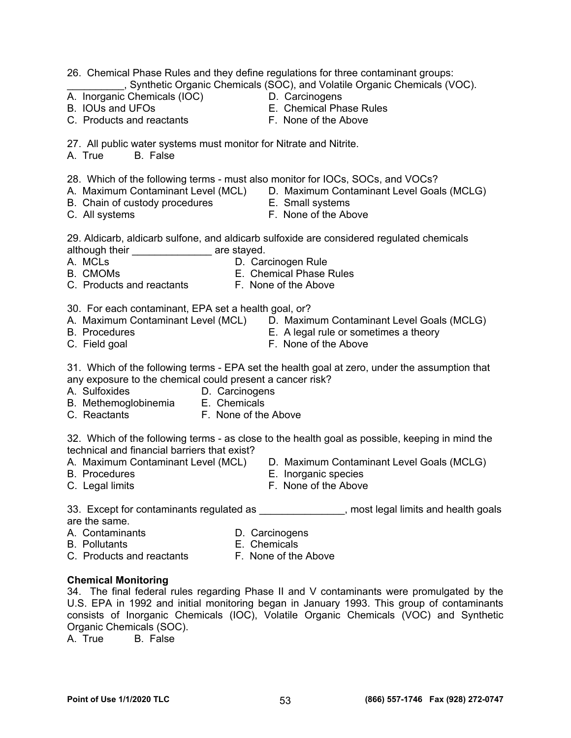| 27. All public water systems must monitor for Nitrate and Nitrite.<br>A. True<br>B. False                                                                                                                                                                                                                                           |  |  |  |
|-------------------------------------------------------------------------------------------------------------------------------------------------------------------------------------------------------------------------------------------------------------------------------------------------------------------------------------|--|--|--|
| 28. Which of the following terms - must also monitor for IOCs, SOCs, and VOCs?<br>A. Maximum Contaminant Level (MCL) D. Maximum Contaminant Level Goals (MCLG)<br>B. Chain of custody procedures $\overline{E}$ . Small systems<br>C. All systems $\overline{E}$ Mone of the Ab<br>F. None of the Above<br>C. All systems           |  |  |  |
| 29. Aldicarb, aldicarb sulfone, and aldicarb sulfoxide are considered regulated chemicals<br>although their _______________ are stayed.                                                                                                                                                                                             |  |  |  |
| 30. For each contaminant, EPA set a health goal, or?<br>A.  Maximum Contaminant Level (MCL)   D.  Maximum Contaminant Level Goals (MCLG)<br><b>B.</b> Procedures<br>E. A legal rule or sometimes a theory<br>F. None of the Above<br>C. Field goal                                                                                  |  |  |  |
| 31. Which of the following terms - EPA set the health goal at zero, under the assumption that<br>any exposure to the chemical could present a cancer risk?<br>A. Sulfoxides<br>D. Carcinogens<br>B. Methemoglobinemia E. Chemicals<br>C. Reactants F. None of the Above                                                             |  |  |  |
| 32. Which of the following terms - as close to the health goal as possible, keeping in mind the<br>technical and financial barriers that exist?<br>A. Maximum Contaminant Level (MCL) D. Maximum Contaminant Level Goals (MCLG)<br><b>B.</b> Procedures<br>E. Inorganic species<br>F. None of the Above<br>C. Legal limits          |  |  |  |
| 33. Except for contaminants regulated as _______________, most legal limits and health go<br>are the same.<br>A. Contaminants<br>D. Carcinogens<br><b>B.</b> Pollutants<br>E. Chemicals<br>C. Products and reactants<br>F. None of the Above                                                                                        |  |  |  |
| <b>Chemical Monitoring</b><br>34. The final federal rules regarding Phase II and V contaminants were promulgated by<br>U.S. EPA in 1992 and initial monitoring began in January 1993. This group of contamina<br>consists of Inorganic Chemicals (IOC), Volatile Organic Chemicals (VOC) and Synthe<br>$O$ rganic Chamicale $(800)$ |  |  |  |

B. IOUs and UFOs<br>
C. Products and reactants<br>
C. Products and reactants<br>
F. None of the Above

A. Inorganic Chemicals (IOC) D. Carcinogens

C. Products and reactants

26. Chemical Phase Rules and they define regulations for three contaminant groups: \_\_\_\_\_\_\_\_\_\_, Synthetic Organic Chemicals (SOC), and Volatile Organic Chemicals (VOC).

- 
- 

- 
- 
- 

- 
- 31. Which of the following terms EPA set the health goal at zero, under the assumption that any exposure to the chemical could present a cancer risk?
- 
- 
- C. Reactants F. None of the Above

- 
- 
- 33. Except for contaminants regulated as entitled as the most legal limits and health goals are
- 
- 

### **Chemical Monitoring**

34. The final federal rules regarding Phase II and V contaminants were promulgated by the U.S. EPA in 1992 and initial monitoring began in January 1993. This group of contaminants consists of Inorganic Chemicals (IOC), Volatile Organic Chemicals (VOC) and Synthetic Organic Chemicals (SOC).

A. True B. False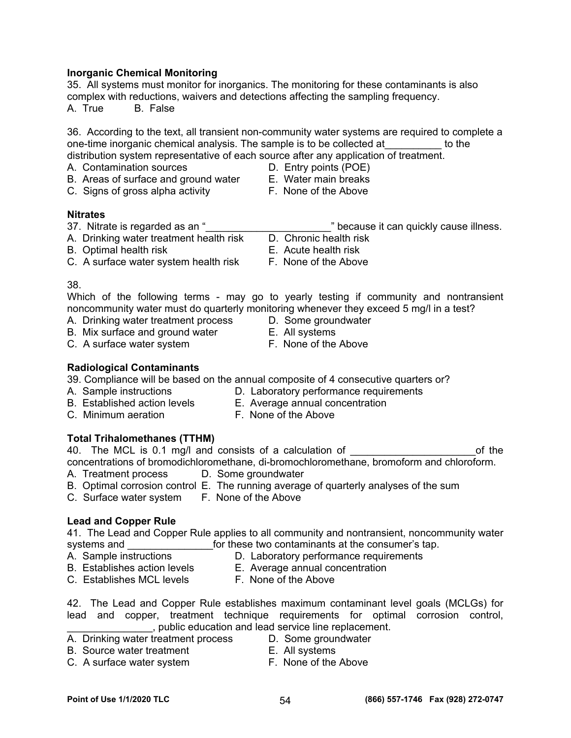### **Inorganic Chemical Monitoring**

35. All systems must monitor for inorganics. The monitoring for these contaminants is also complex with reductions, waivers and detections affecting the sampling frequency.

A. True B. False

36. According to the text, all transient non-community water systems are required to complete a one-time inorganic chemical analysis. The sample is to be collected at\_\_\_\_\_\_\_\_\_\_ to the distribution system representative of each source after any application of treatment.

- A. Contamination sources D. Entry points (POE)
- B. Areas of surface and ground water **E. Water main breaks**
- C. Signs of gross alpha activity **F. None of the Above**
- 
- 

#### **Nitrates**

- 37. Nitrate is regarded as an "\_\_\_\_\_\_\_\_\_\_\_\_\_\_\_\_\_\_\_\_\_\_" because it can quickly cause illness.
	-
- 
- C. A surface water system health risk F. None of the Above

38.

Which of the following terms - may go to yearly testing if community and nontransient noncommunity water must do quarterly monitoring whenever they exceed 5 mg/l in a test?

- A. Drinking water treatment process D. Some groundwater
- B. Mix surface and ground water **E. All systems**
- C. A surface water system F. None of the Above
- 
- 
- **Radiological Contaminants**

39. Compliance will be based on the annual composite of 4 consecutive quarters or?

- 
- A. Sample instructions **D. Laboratory performance requirements**
- B. Established action levels E. Average annual concentration
- C. Minimum aeration **F. None of the Above**

### **Total Trihalomethanes (TTHM)**

40. The MCL is 0.1 mg/l and consists of a calculation of The Theorem Construction of the concentrations of bromodichloromethane, di-bromochloromethane, bromoform and chloroform.

- A. Treatment process D. Some groundwater
- B. Optimal corrosion control E. The running average of quarterly analyses of the sum
- C. Surface water system F. None of the Above

### **Lead and Copper Rule**

41. The Lead and Copper Rule applies to all community and nontransient, noncommunity water systems and \_\_\_\_\_\_\_\_\_\_\_\_\_\_\_\_\_\_for these two contaminants at the consumer's tap.<br>A. Sample instructions \_\_\_\_\_\_\_\_\_\_\_\_\_\_\_\_D. Laboratory performance requirements

- 
- 
- D. Laboratory performance requirements B. Establishes action levels E. Average annual concentration
- C. Establishes MCL levels F. None of the Above
- 
- 42. The Lead and Copper Rule establishes maximum contaminant level goals (MCLGs) for lead and copper, treatment technique requirements for optimal corrosion control, \_\_\_\_\_\_\_\_\_\_\_\_\_\_\_, public education and lead service line replacement.
- A. Drinking water treatment process D. Some groundwater
- B. Source water treatment E. All systems
- C. A surface water system F. None of the Above
- -
- A. Drinking water treatment health risk D. Chronic health risk
- B. Optimal health risk E. Acute health risk
	-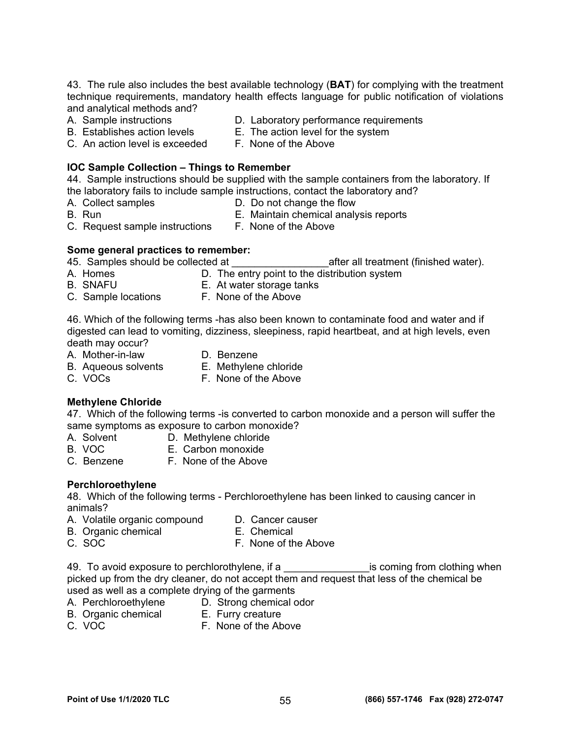43. The rule also includes the best available technology (**BAT**) for complying with the treatment technique requirements, mandatory health effects language for public notification of violations and analytical methods and?

- 
- A. Sample instructions D. Laboratory performance requirements
- B. Establishes action levels E. The action level for the system
- C. An action level is exceeded F. None of the Above

**IOC Sample Collection – Things to Remember**  44. Sample instructions should be supplied with the sample containers from the laboratory. If the laboratory fails to include sample instructions, contact the laboratory and?

- 
- A. Collect samples D. Do not change the flow
- 
- B. Run **E. Maintain chemical analysis reports** C. Request sample instructions F. None of the Above

### **Some general practices to remember:**

45. Samples should be collected at  $\qquad \qquad$  after all treatment (finished water).

- A. Homes **D. The entry point to the distribution system**
- B. SNAFU E. At water storage tanks
- C. Sample locations F. None of the Above

46. Which of the following terms -has also been known to contaminate food and water and if digested can lead to vomiting, dizziness, sleepiness, rapid heartbeat, and at high levels, even death may occur?

- A. Mother-in-law D. Benzene
	-
- B. Aqueous solvents E. Methylene chloride
	-
- 
- C. VOCs F. None of the Above

### **Methylene Chloride**

47. Which of the following terms -is converted to carbon monoxide and a person will suffer the same symptoms as exposure to carbon monoxide?

- A. Solvent D. Methylene chloride
- B. VOC E. Carbon monoxide
- C. Benzene F. None of the Above

### **Perchloroethylene**

48. Which of the following terms - Perchloroethylene has been linked to causing cancer in animals?

- A. Volatile organic compound D. Cancer causer
	-
- B. Organic chemical E. Chemical C. SOC **F. None of the Above**

49. To avoid exposure to perchlorothylene, if a \_\_\_\_\_\_\_\_\_\_\_\_\_\_\_\_\_\_\_\_\_\_\_\_\_\_is coming from clothing when picked up from the dry cleaner, do not accept them and request that less of the chemical be used as well as a complete drying of the garments

- 
- A. Perchloroethylene D. Strong chemical odor
- B. Organic chemical E. Furry creature
- C. VOC F. None of the Above
- 
-